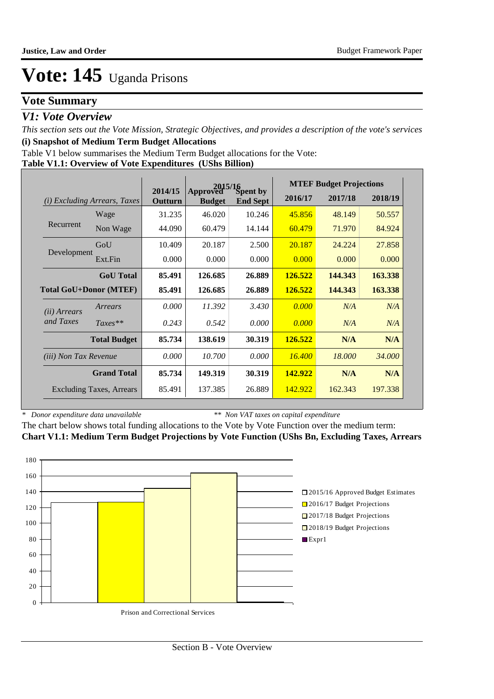## **Vote Summary**

### *V1: Vote Overview*

*This section sets out the Vote Mission, Strategic Objectives, and provides a description of the vote's services* **(i) Snapshot of Medium Term Budget Allocations** 

Table V1 below summarises the Medium Term Budget allocations for the Vote:

**Table V1.1: Overview of Vote Expenditures (UShs Billion)**

|                              |                                 |                    | 2015/16                   |                             |                | <b>MTEF Budget Projections</b> |         |
|------------------------------|---------------------------------|--------------------|---------------------------|-----------------------------|----------------|--------------------------------|---------|
| (i)                          | <i>Excluding Arrears, Taxes</i> | 2014/15<br>Outturn | Approved<br><b>Budget</b> | Spent by<br><b>End Sept</b> | 2016/17        | 2017/18                        | 2018/19 |
|                              | Wage                            | 31.235             | 46.020                    | 10.246                      | 45.856         | 48.149                         | 50.557  |
| Recurrent                    | Non Wage                        | 44.090             | 60.479                    | 14.144                      | 60.479         | 71.970                         | 84.924  |
|                              | GoU                             | 10.409             | 20.187                    | 2.500                       | 20.187         | 24.224                         | 27.858  |
| Development                  | Ext.Fin                         | 0.000              | 0.000                     | 0.000                       | 0.000          | 0.000                          | 0.000   |
|                              | <b>GoU</b> Total                | 85.491             | 126.685                   | 26.889                      | 126.522        | 144,343                        | 163.338 |
|                              | <b>Total GoU+Donor (MTEF)</b>   | 85.491             | 126.685                   | 26.889                      | 126.522        | 144.343                        | 163.338 |
| ( <i>ii</i> ) Arrears        | Arrears                         | 0.000              | 11.392                    | 3.430                       | 0.000          | N/A                            | N/A     |
| and Taxes                    | $Taxes**$                       | 0.243              | 0.542                     | 0.000                       | 0.000          | N/A                            | N/A     |
|                              | <b>Total Budget</b>             | 85.734             | 138.619                   | 30.319                      | <b>126.522</b> | N/A                            | N/A     |
| <i>(iii)</i> Non Tax Revenue |                                 | 0.000              | 10.700                    | 0.000                       | 16.400         | 18.000                         | 34.000  |
|                              | <b>Grand Total</b>              | 85.734             | 149.319                   | 30.319                      | 142.922        | N/A                            | N/A     |
|                              | <b>Excluding Taxes, Arrears</b> | 85.491             | 137.385                   | 26.889                      | 142.922        | 162.343                        | 197.338 |

*\* Donor expenditure data unavailable*

*\*\* Non VAT taxes on capital expenditure*

The chart below shows total funding allocations to the Vote by Vote Function over the medium term: **Chart V1.1: Medium Term Budget Projections by Vote Function (UShs Bn, Excluding Taxes, Arrears**

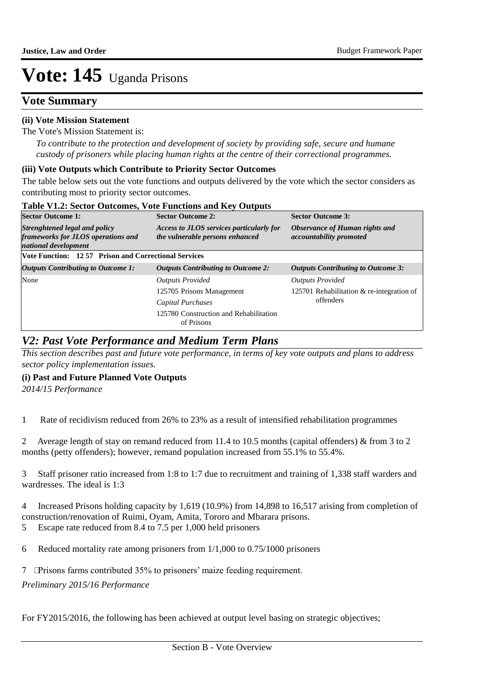### **Vote Summary**

### **(ii) Vote Mission Statement**

The Vote's Mission Statement is:

*To contribute to the protection and development of society by providing safe, secure and humane custody of prisoners while placing human rights at the centre of their correctional programmes.*

### **(iii) Vote Outputs which Contribute to Priority Sector Outcomes**

The table below sets out the vote functions and outputs delivered by the vote which the sector considers as contributing most to priority sector outcomes.

| <b>Table V1.2: Sector Outcomes, Vote Functions and Key Outputs</b>                          |                                                                             |                                                                  |  |  |  |  |  |  |
|---------------------------------------------------------------------------------------------|-----------------------------------------------------------------------------|------------------------------------------------------------------|--|--|--|--|--|--|
| <b>Sector Outcome 1:</b>                                                                    | <b>Sector Outcome 2:</b>                                                    | <b>Sector Outcome 3:</b>                                         |  |  |  |  |  |  |
| Strenghtened legal and policy<br>frameworks for JLOS operations and<br>national development | Access to JLOS services particularly for<br>the vulnerable persons enhanced | Observance of Human rights and<br><i>accountability promoted</i> |  |  |  |  |  |  |
| <b>Vote Function: 12.57 Prison and Correctional Services</b>                                |                                                                             |                                                                  |  |  |  |  |  |  |
| <b>Outputs Contributing to Outcome 1:</b>                                                   | <b>Outputs Contributing to Outcome 2:</b>                                   | <b>Outputs Contributing to Outcome 3:</b>                        |  |  |  |  |  |  |
| None                                                                                        | <b>Outputs Provided</b>                                                     | <b>Outputs Provided</b>                                          |  |  |  |  |  |  |
|                                                                                             | 125705 Prisons Management                                                   | 125701 Rehabilitation & re-integration of                        |  |  |  |  |  |  |
|                                                                                             | Capital Purchases                                                           | offenders                                                        |  |  |  |  |  |  |
|                                                                                             | 125780 Construction and Rehabilitation<br>of Prisons                        |                                                                  |  |  |  |  |  |  |

### *V2: Past Vote Performance and Medium Term Plans*

*This section describes past and future vote performance, in terms of key vote outputs and plans to address sector policy implementation issues.* 

### **(i) Past and Future Planned Vote Outputs**

*2014/15 Performance*

1 Rate of recidivism reduced from 26% to 23% as a result of intensified rehabilitation programmes

2 Average length of stay on remand reduced from 11.4 to 10.5 months (capital offenders) & from 3 to 2 months (petty offenders); however, remand population increased from 55.1% to 55.4%.

3 Staff prisoner ratio increased from 1:8 to 1:7 due to recruitment and training of 1,338 staff warders and wardresses. The ideal is 1:3

4 Increased Prisons holding capacity by 1,619 (10.9%) from 14,898 to 16,517 arising from completion of construction/renovation of Ruimi, Oyam, Amita, Tororo and Mbarara prisons.

5 Escape rate reduced from 8.4 to 7.5 per 1,000 held prisoners

6 Reduced mortality rate among prisoners from 1/1,000 to 0.75/1000 prisoners

7 Prisons farms contributed 35% to prisoners' maize feeding requirement.

*Preliminary 2015/16 Performance*

For FY2015/2016, the following has been achieved at output level basing on strategic objectives;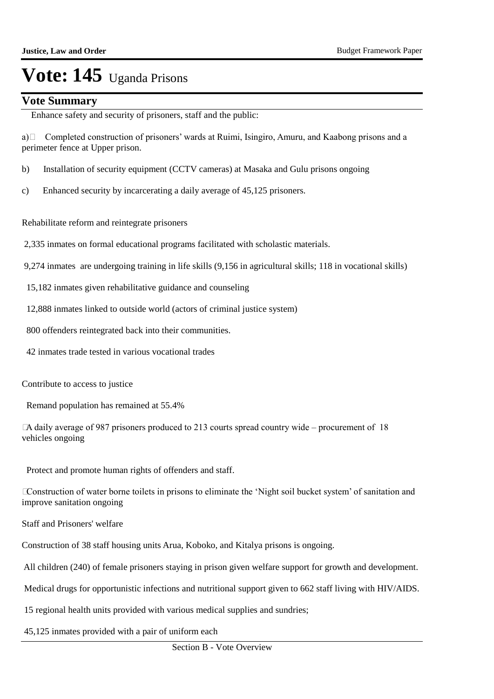### **Vote Summary**

Enhance safety and security of prisoners, staff and the public:

a)  $\Box$  Completed construction of prisoners' wards at Ruimi, Isingiro, Amuru, and Kaabong prisons and a perimeter fence at Upper prison.

- b) Installation of security equipment (CCTV cameras) at Masaka and Gulu prisons ongoing
- c) Enhanced security by incarcerating a daily average of 45,125 prisoners.

Rehabilitate reform and reintegrate prisoners

- 2,335 inmates on formal educational programs facilitated with scholastic materials.
- 9,274 inmates are undergoing training in life skills (9,156 in agricultural skills; 118 in vocational skills)
- 15,182 inmates given rehabilitative guidance and counseling
- 12,888 inmates linked to outside world (actors of criminal justice system)
- 800 offenders reintegrated back into their communities.
- 42 inmates trade tested in various vocational trades
- Contribute to access to justice
- Remand population has remained at 55.4%

 A daily average of 987 prisoners produced to 213 courts spread country wide – procurement of 18 vehicles ongoing

 Protect and promote human rights of offenders and staff.

 Construction of water borne toilets in prisons to eliminate the "Night soil bucket system" of sanitation and improve sanitation ongoing

 Staff and Prisoners' welfare

 Construction of 38 staff housing units Arua, Koboko, and Kitalya prisons is ongoing.

 All children (240) of female prisoners staying in prison given welfare support for growth and development.

 Medical drugs for opportunistic infections and nutritional support given to 662 staff living with HIV/AIDS.

 15 regional health units provided with various medical supplies and sundries;

 45,125 inmates provided with a pair of uniform each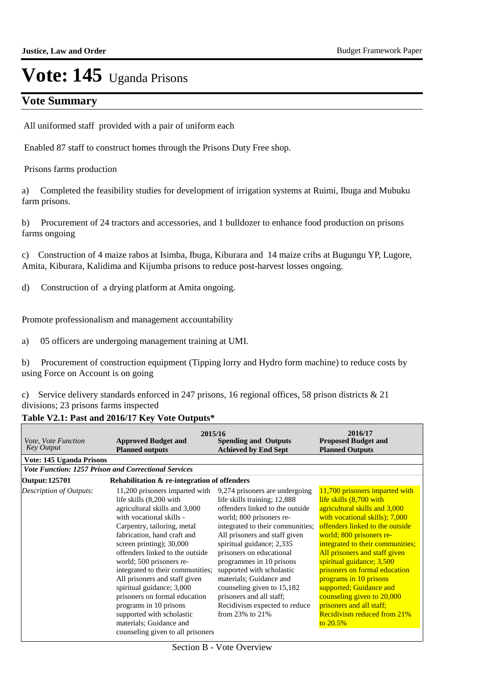## **Vote Summary**

 All uniformed staff provided with a pair of uniform each

 Enabled 87 staff to construct homes through the Prisons Duty Free shop.

Prisons farms production

 a) Completed the feasibility studies for development of irrigation systems at Ruimi, Ibuga and Mubuku farm prisons.

b) Procurement of 24 tractors and accessories, and 1 bulldozer to enhance food production on prisons farms ongoing

c) Construction of 4 maize rabos at Isimba, Ibuga, Kiburara and 14 maize cribs at Bugungu YP, Lugore, Amita, Kiburara, Kalidima and Kijumba prisons to reduce post-harvest losses ongoing.

d) Construction of a drying platform at Amita ongoing.

Promote professionalism and management accountability

a) 05 officers are undergoing management training at UMI.

b) Procurement of construction equipment (Tipping lorry and Hydro form machine) to reduce costs by using Force on Account is on going

c) Service delivery standards enforced in 247 prisons, 16 regional offices, 58 prison districts & 21 divisions; 23 prisons farms inspected

### **Table V2.1: Past and 2016/17 Key Vote Outputs\***

|                                                 | 2015/16                                                                                                                                                                                                                                                                                                                                                                                                                                                                                                                                     |                                                                                                                                                                                                                                                                                                                                                                                                                                                                  | 2016/17                                                                                                                                                                                                                                                                                                                                                                                                                                                                                           |
|-------------------------------------------------|---------------------------------------------------------------------------------------------------------------------------------------------------------------------------------------------------------------------------------------------------------------------------------------------------------------------------------------------------------------------------------------------------------------------------------------------------------------------------------------------------------------------------------------------|------------------------------------------------------------------------------------------------------------------------------------------------------------------------------------------------------------------------------------------------------------------------------------------------------------------------------------------------------------------------------------------------------------------------------------------------------------------|---------------------------------------------------------------------------------------------------------------------------------------------------------------------------------------------------------------------------------------------------------------------------------------------------------------------------------------------------------------------------------------------------------------------------------------------------------------------------------------------------|
| <i>Vote, Vote Function</i><br><b>Key Output</b> | <b>Approved Budget and</b><br><b>Planned outputs</b>                                                                                                                                                                                                                                                                                                                                                                                                                                                                                        | <b>Spending and Outputs</b><br><b>Achieved by End Sept</b>                                                                                                                                                                                                                                                                                                                                                                                                       | <b>Proposed Budget and</b><br><b>Planned Outputs</b>                                                                                                                                                                                                                                                                                                                                                                                                                                              |
| Vote: 145 Uganda Prisons                        |                                                                                                                                                                                                                                                                                                                                                                                                                                                                                                                                             |                                                                                                                                                                                                                                                                                                                                                                                                                                                                  |                                                                                                                                                                                                                                                                                                                                                                                                                                                                                                   |
|                                                 | <b>Vote Function: 1257 Prison and Correctional Services</b>                                                                                                                                                                                                                                                                                                                                                                                                                                                                                 |                                                                                                                                                                                                                                                                                                                                                                                                                                                                  |                                                                                                                                                                                                                                                                                                                                                                                                                                                                                                   |
| Output: 125701                                  | Rehabilitation & re-integration of offenders                                                                                                                                                                                                                                                                                                                                                                                                                                                                                                |                                                                                                                                                                                                                                                                                                                                                                                                                                                                  |                                                                                                                                                                                                                                                                                                                                                                                                                                                                                                   |
| <b>Description of Outputs:</b>                  | 11,200 prisoners imparted with<br>life skills (8,200 with<br>agricultural skills and 3,000<br>with vocational skills -<br>Carpentry, tailoring, metal<br>fabrication, hand craft and<br>screen printing); $30,000$<br>offenders linked to the outside<br>world; 500 prisoners re-<br>integrated to their communities;<br>All prisoners and staff given<br>spiritual guidance; 3,000<br>prisoners on formal education<br>programs in 10 prisons<br>supported with scholastic<br>materials; Guidance and<br>counseling given to all prisoners | 9,274 prisoners are undergoing<br>life skills training; 12,888<br>offenders linked to the outside<br>world; 800 prisoners re-<br>integrated to their communities;<br>All prisoners and staff given<br>spiritual guidance; 2,335<br>prisoners on educational<br>programmes in 10 prisons<br>supported with scholastic<br>materials; Guidance and<br>counseling given to 15,182<br>prisoners and all staff;<br>Recidivism expected to reduce<br>from 23% to $21\%$ | 11,700 prisoners imparted with<br>life skills (8,700 with<br>agricultural skills and 3,000<br>with vocational skills); 7,000<br>offenders linked to the outside<br>world; 800 prisoners re-<br>integrated to their communities;<br>All prisoners and staff given<br>spiritual guidance; 3,500<br>prisoners on formal education<br>programs in 10 prisons<br>supported; Guidance and<br>counseling given to 20,000<br>prisoners and all staff;<br><b>Recidivism reduced from 21%</b><br>to $20.5%$ |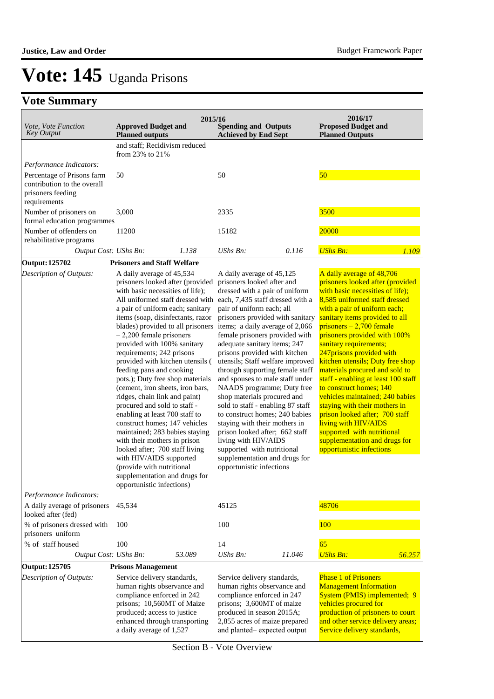## **Vote Summary**

| Vote, Vote Function<br><b>Key Output</b>                                                                                  | <b>Approved Budget and</b><br><b>Planned outputs</b>                                                                                                                                                                                                                                                                                                                                                                                                                                                                                                                                                                                                                                                                                                                                                                                                 | 2015/16 | <b>Spending and Outputs</b><br><b>Achieved by End Sept</b>                                                                                                                                                                                                                                                                                                                                                                                                                                                                                                                                                                                                                                                                                                                                                |        | 2016/17<br><b>Proposed Budget and</b><br><b>Planned Outputs</b>                                                                                                                                                                                                                                                                                                                                                                                                                                                                                                                                                                                                                          |        |
|---------------------------------------------------------------------------------------------------------------------------|------------------------------------------------------------------------------------------------------------------------------------------------------------------------------------------------------------------------------------------------------------------------------------------------------------------------------------------------------------------------------------------------------------------------------------------------------------------------------------------------------------------------------------------------------------------------------------------------------------------------------------------------------------------------------------------------------------------------------------------------------------------------------------------------------------------------------------------------------|---------|-----------------------------------------------------------------------------------------------------------------------------------------------------------------------------------------------------------------------------------------------------------------------------------------------------------------------------------------------------------------------------------------------------------------------------------------------------------------------------------------------------------------------------------------------------------------------------------------------------------------------------------------------------------------------------------------------------------------------------------------------------------------------------------------------------------|--------|------------------------------------------------------------------------------------------------------------------------------------------------------------------------------------------------------------------------------------------------------------------------------------------------------------------------------------------------------------------------------------------------------------------------------------------------------------------------------------------------------------------------------------------------------------------------------------------------------------------------------------------------------------------------------------------|--------|
| Performance Indicators:<br>Percentage of Prisons farm<br>contribution to the overall<br>prisoners feeding<br>requirements | and staff; Recidivism reduced<br>from 23% to 21%<br>50                                                                                                                                                                                                                                                                                                                                                                                                                                                                                                                                                                                                                                                                                                                                                                                               |         | 50                                                                                                                                                                                                                                                                                                                                                                                                                                                                                                                                                                                                                                                                                                                                                                                                        |        | 50                                                                                                                                                                                                                                                                                                                                                                                                                                                                                                                                                                                                                                                                                       |        |
| Number of prisoners on<br>formal education programmes                                                                     | 3,000                                                                                                                                                                                                                                                                                                                                                                                                                                                                                                                                                                                                                                                                                                                                                                                                                                                |         | 2335                                                                                                                                                                                                                                                                                                                                                                                                                                                                                                                                                                                                                                                                                                                                                                                                      |        | 3500                                                                                                                                                                                                                                                                                                                                                                                                                                                                                                                                                                                                                                                                                     |        |
| Number of offenders on<br>rehabilitative programs<br>Output Cost: UShs Bn:                                                | 11200                                                                                                                                                                                                                                                                                                                                                                                                                                                                                                                                                                                                                                                                                                                                                                                                                                                | 1.138   | 15182<br><b>UShs Bn:</b>                                                                                                                                                                                                                                                                                                                                                                                                                                                                                                                                                                                                                                                                                                                                                                                  | 0.116  | 20000<br><b>UShs Bn:</b>                                                                                                                                                                                                                                                                                                                                                                                                                                                                                                                                                                                                                                                                 | 1.109  |
|                                                                                                                           |                                                                                                                                                                                                                                                                                                                                                                                                                                                                                                                                                                                                                                                                                                                                                                                                                                                      |         |                                                                                                                                                                                                                                                                                                                                                                                                                                                                                                                                                                                                                                                                                                                                                                                                           |        |                                                                                                                                                                                                                                                                                                                                                                                                                                                                                                                                                                                                                                                                                          |        |
| <b>Output: 125702</b><br>Description of Outputs:                                                                          | <b>Prisoners and Staff Welfare</b><br>A daily average of 45,534<br>prisoners looked after (provided<br>with basic necessities of life);<br>a pair of uniform each; sanitary<br>items (soap, disinfectants, razor<br>blades) provided to all prisoners<br>$-2,200$ female prisoners<br>provided with 100% sanitary<br>requirements; 242 prisons<br>provided with kitchen utensils (<br>feeding pans and cooking<br>pots.); Duty free shop materials<br>(cement, iron sheets, iron bars,<br>ridges, chain link and paint)<br>procured and sold to staff -<br>enabling at least 700 staff to<br>construct homes; 147 vehicles<br>maintained; 283 babies staying<br>with their mothers in prison<br>looked after; 700 staff living<br>with HIV/AIDS supported<br>(provide with nutritional<br>supplementation and drugs for<br>opportunistic infections) |         | A daily average of 45,125<br>prisoners looked after and<br>dressed with a pair of uniform<br>All uniformed staff dressed with each, 7,435 staff dressed with a<br>pair of uniform each; all<br>prisoners provided with sanitary<br>items; a daily average of 2,066<br>female prisoners provided with<br>adequate sanitary items; 247<br>prisons provided with kitchen<br>utensils; Staff welfare improved<br>through supporting female staff<br>and spouses to male staff under<br>NAADS programme; Duty free<br>shop materials procured and<br>sold to staff - enabling 87 staff<br>to construct homes; 240 babies<br>staying with their mothers in<br>prison looked after; 662 staff<br>living with HIV/AIDS<br>supported with nutritional<br>supplementation and drugs for<br>opportunistic infections |        | A daily average of 48,706<br>prisoners looked after (provided<br>with basic necessities of life);<br>8,585 uniformed staff dressed<br>with a pair of uniform each;<br>sanitary items provided to all<br>prisoners $-2,700$ female<br>prisoners provided with 100%<br>sanitary requirements;<br>247prisons provided with<br>kitchen utensils; Duty free shop<br>materials procured and sold to<br>staff - enabling at least 100 staff<br>to construct homes; 140<br>vehicles maintained; 240 babies<br>staying with their mothers in<br>prison looked after; 700 staff<br>living with HIV/AIDS<br>supported with nutritional<br>supplementation and drugs for<br>opportunistic infections |        |
| Performance Indicators:<br>A daily average of prisoners                                                                   | 45,534                                                                                                                                                                                                                                                                                                                                                                                                                                                                                                                                                                                                                                                                                                                                                                                                                                               |         | 45125                                                                                                                                                                                                                                                                                                                                                                                                                                                                                                                                                                                                                                                                                                                                                                                                     |        | 48706                                                                                                                                                                                                                                                                                                                                                                                                                                                                                                                                                                                                                                                                                    |        |
| looked after (fed)<br>% of prisoners dressed with                                                                         | 100                                                                                                                                                                                                                                                                                                                                                                                                                                                                                                                                                                                                                                                                                                                                                                                                                                                  |         | 100                                                                                                                                                                                                                                                                                                                                                                                                                                                                                                                                                                                                                                                                                                                                                                                                       |        | 100                                                                                                                                                                                                                                                                                                                                                                                                                                                                                                                                                                                                                                                                                      |        |
| prisoners uniform                                                                                                         |                                                                                                                                                                                                                                                                                                                                                                                                                                                                                                                                                                                                                                                                                                                                                                                                                                                      |         |                                                                                                                                                                                                                                                                                                                                                                                                                                                                                                                                                                                                                                                                                                                                                                                                           |        |                                                                                                                                                                                                                                                                                                                                                                                                                                                                                                                                                                                                                                                                                          |        |
| % of staff housed<br>Output Cost: UShs Bn:                                                                                | 100                                                                                                                                                                                                                                                                                                                                                                                                                                                                                                                                                                                                                                                                                                                                                                                                                                                  | 53.089  | 14<br>UShs Bn:                                                                                                                                                                                                                                                                                                                                                                                                                                                                                                                                                                                                                                                                                                                                                                                            | 11.046 | 65<br><b>UShs Bn:</b>                                                                                                                                                                                                                                                                                                                                                                                                                                                                                                                                                                                                                                                                    |        |
|                                                                                                                           |                                                                                                                                                                                                                                                                                                                                                                                                                                                                                                                                                                                                                                                                                                                                                                                                                                                      |         |                                                                                                                                                                                                                                                                                                                                                                                                                                                                                                                                                                                                                                                                                                                                                                                                           |        |                                                                                                                                                                                                                                                                                                                                                                                                                                                                                                                                                                                                                                                                                          | 56.257 |
| <b>Output: 125705</b><br>Description of Outputs:                                                                          | <b>Prisons Management</b><br>Service delivery standards,<br>human rights observance and<br>compliance enforced in 242<br>prisons; 10,560MT of Maize<br>produced; access to justice<br>enhanced through transporting                                                                                                                                                                                                                                                                                                                                                                                                                                                                                                                                                                                                                                  |         | Service delivery standards,<br>human rights observance and<br>compliance enforced in 247<br>prisons; 3,600MT of maize<br>produced in season 2015A;<br>2,855 acres of maize prepared                                                                                                                                                                                                                                                                                                                                                                                                                                                                                                                                                                                                                       |        | <b>Phase 1 of Prisoners</b><br><b>Management Information</b><br>System (PMIS) implemented; 9<br>vehicles procured for<br>production of prisoners to court<br>and other service delivery areas;                                                                                                                                                                                                                                                                                                                                                                                                                                                                                           |        |

and planted– expected output

Service delivery standards,

a daily average of 1,527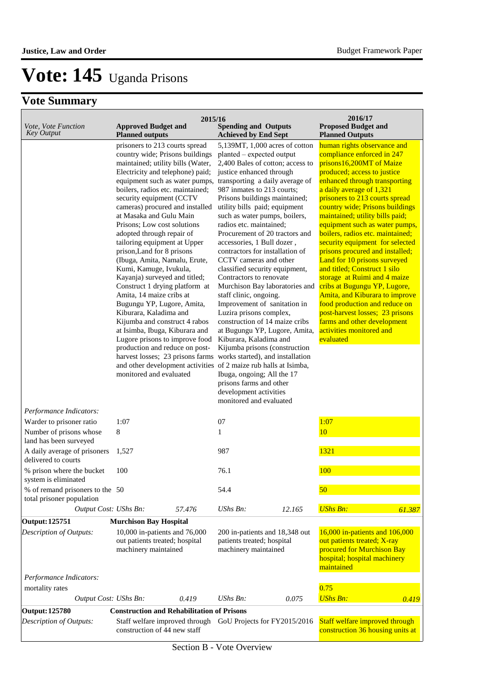|                                                              | 2015/16                                                                                                                                                                                                                                                                                                                                                                                                                                                                                                                                                                                                                                                                                                                                                                                                                                                                                                                                                           |                                                                                                                                                                                                                                                                                                                                                                                                                                                                                                                                                                                                                                                                                                                                                                                                                                                                                         | 2016/17                                                                                                                                                                                                                                                                                                                                                                                                                                                                                                                                                                                                                                                                                                                                             |
|--------------------------------------------------------------|-------------------------------------------------------------------------------------------------------------------------------------------------------------------------------------------------------------------------------------------------------------------------------------------------------------------------------------------------------------------------------------------------------------------------------------------------------------------------------------------------------------------------------------------------------------------------------------------------------------------------------------------------------------------------------------------------------------------------------------------------------------------------------------------------------------------------------------------------------------------------------------------------------------------------------------------------------------------|-----------------------------------------------------------------------------------------------------------------------------------------------------------------------------------------------------------------------------------------------------------------------------------------------------------------------------------------------------------------------------------------------------------------------------------------------------------------------------------------------------------------------------------------------------------------------------------------------------------------------------------------------------------------------------------------------------------------------------------------------------------------------------------------------------------------------------------------------------------------------------------------|-----------------------------------------------------------------------------------------------------------------------------------------------------------------------------------------------------------------------------------------------------------------------------------------------------------------------------------------------------------------------------------------------------------------------------------------------------------------------------------------------------------------------------------------------------------------------------------------------------------------------------------------------------------------------------------------------------------------------------------------------------|
| Vote, Vote Function<br><b>Key Output</b>                     | <b>Approved Budget and</b><br><b>Planned outputs</b>                                                                                                                                                                                                                                                                                                                                                                                                                                                                                                                                                                                                                                                                                                                                                                                                                                                                                                              | <b>Spending and Outputs</b><br><b>Achieved by End Sept</b>                                                                                                                                                                                                                                                                                                                                                                                                                                                                                                                                                                                                                                                                                                                                                                                                                              | <b>Proposed Budget and</b><br><b>Planned Outputs</b>                                                                                                                                                                                                                                                                                                                                                                                                                                                                                                                                                                                                                                                                                                |
| Performance Indicators:                                      | prisoners to 213 courts spread<br>country wide; Prisons buildings<br>maintained; utility bills (Water,<br>Electricity and telephone) paid;<br>equipment such as water pumps,<br>boilers, radios etc. maintained;<br>security equipment (CCTV<br>cameras) procured and installed<br>at Masaka and Gulu Main<br>Prisons; Low cost solutions<br>adopted through repair of<br>tailoring equipment at Upper<br>prison, Land for 8 prisons<br>(Ibuga, Amita, Namalu, Erute,<br>Kumi, Kamuge, Ivukula,<br>Kayanja) surveyed and titled;<br>Construct 1 drying platform at<br>Amita, 14 maize cribs at<br>Bugungu YP, Lugore, Amita,<br>Kiburara, Kaladima and<br>Kijumba and construct 4 rabos<br>at Isimba, Ibuga, Kiburara and<br>Lugore prisons to improve food<br>production and reduce on post-<br>harvest losses; 23 prisons farms works started), and installation<br>and other development activities of 2 maize rub halls at Isimba,<br>monitored and evaluated | 5,139MT, 1,000 acres of cotton<br>planted – expected output<br>2,400 Bales of cotton; access to<br>justice enhanced through<br>transporting a daily average of<br>987 inmates to 213 courts;<br>Prisons buildings maintained;<br>utility bills paid; equipment<br>such as water pumps, boilers,<br>radios etc. maintained;<br>Procurement of 20 tractors and<br>accessories, 1 Bull dozer,<br>contractors for installation of<br>CCTV cameras and other<br>classified security equipment,<br>Contractors to renovate<br>Murchison Bay laboratories and<br>staff clinic, ongoing.<br>Improvement of sanitation in<br>Luzira prisons complex,<br>construction of 14 maize cribs<br>at Bugungu YP, Lugore, Amita,<br>Kiburara, Kaladima and<br>Kijumba prisons (construction<br>Ibuga, ongoing; All the 17<br>prisons farms and other<br>development activities<br>monitored and evaluated | human rights observance and<br>compliance enforced in 247<br>prisons16,200MT of Maize<br>produced; access to justice<br>enhanced through transporting<br>a daily average of 1,321<br>prisoners to 213 courts spread<br>country wide; Prisons buildings<br>maintained; utility bills paid;<br>equipment such as water pumps,<br>boilers, radios etc. maintained;<br>security equipment for selected<br>prisons procured and installed;<br>Land for 10 prisons surveyed<br>and titled; Construct 1 silo<br>storage at Ruimi and 4 maize<br>cribs at Bugungu YP, Lugore,<br>Amita, and Kiburara to improve<br>food production and reduce on<br>post-harvest losses; 23 prisons<br>farms and other development<br>activities monitored and<br>evaluated |
| Warder to prisoner ratio                                     | 1:07                                                                                                                                                                                                                                                                                                                                                                                                                                                                                                                                                                                                                                                                                                                                                                                                                                                                                                                                                              | 07                                                                                                                                                                                                                                                                                                                                                                                                                                                                                                                                                                                                                                                                                                                                                                                                                                                                                      | 1:07                                                                                                                                                                                                                                                                                                                                                                                                                                                                                                                                                                                                                                                                                                                                                |
| Number of prisons whose<br>land has been surveyed            | $\,8\,$                                                                                                                                                                                                                                                                                                                                                                                                                                                                                                                                                                                                                                                                                                                                                                                                                                                                                                                                                           | 1                                                                                                                                                                                                                                                                                                                                                                                                                                                                                                                                                                                                                                                                                                                                                                                                                                                                                       | 10                                                                                                                                                                                                                                                                                                                                                                                                                                                                                                                                                                                                                                                                                                                                                  |
| A daily average of prisoners<br>delivered to courts          | 1,527                                                                                                                                                                                                                                                                                                                                                                                                                                                                                                                                                                                                                                                                                                                                                                                                                                                                                                                                                             | 987                                                                                                                                                                                                                                                                                                                                                                                                                                                                                                                                                                                                                                                                                                                                                                                                                                                                                     | 1321                                                                                                                                                                                                                                                                                                                                                                                                                                                                                                                                                                                                                                                                                                                                                |
| % prison where the bucket<br>system is eliminated            | 100                                                                                                                                                                                                                                                                                                                                                                                                                                                                                                                                                                                                                                                                                                                                                                                                                                                                                                                                                               | 76.1                                                                                                                                                                                                                                                                                                                                                                                                                                                                                                                                                                                                                                                                                                                                                                                                                                                                                    | 100                                                                                                                                                                                                                                                                                                                                                                                                                                                                                                                                                                                                                                                                                                                                                 |
| % of remand prisoners to the 50<br>total prisoner population |                                                                                                                                                                                                                                                                                                                                                                                                                                                                                                                                                                                                                                                                                                                                                                                                                                                                                                                                                                   | 54.4                                                                                                                                                                                                                                                                                                                                                                                                                                                                                                                                                                                                                                                                                                                                                                                                                                                                                    | 50                                                                                                                                                                                                                                                                                                                                                                                                                                                                                                                                                                                                                                                                                                                                                  |
| Output Cost: UShs Bn:                                        | 57.476                                                                                                                                                                                                                                                                                                                                                                                                                                                                                                                                                                                                                                                                                                                                                                                                                                                                                                                                                            | <b>UShs Bn:</b><br>12.165                                                                                                                                                                                                                                                                                                                                                                                                                                                                                                                                                                                                                                                                                                                                                                                                                                                               | <b>UShs Bn:</b><br>61.387                                                                                                                                                                                                                                                                                                                                                                                                                                                                                                                                                                                                                                                                                                                           |
| <b>Output: 125751</b>                                        | <b>Murchison Bay Hospital</b>                                                                                                                                                                                                                                                                                                                                                                                                                                                                                                                                                                                                                                                                                                                                                                                                                                                                                                                                     |                                                                                                                                                                                                                                                                                                                                                                                                                                                                                                                                                                                                                                                                                                                                                                                                                                                                                         |                                                                                                                                                                                                                                                                                                                                                                                                                                                                                                                                                                                                                                                                                                                                                     |
| Description of Outputs:<br>Performance Indicators:           | 10,000 in-patients and 76,000<br>out patients treated; hospital<br>machinery maintained                                                                                                                                                                                                                                                                                                                                                                                                                                                                                                                                                                                                                                                                                                                                                                                                                                                                           | 200 in-patients and 18,348 out<br>patients treated; hospital<br>machinery maintained                                                                                                                                                                                                                                                                                                                                                                                                                                                                                                                                                                                                                                                                                                                                                                                                    | 16,000 in-patients and 106,000<br>out patients treated; X-ray<br>procured for Murchison Bay<br>hospital; hospital machinery<br>maintained                                                                                                                                                                                                                                                                                                                                                                                                                                                                                                                                                                                                           |
| mortality rates                                              |                                                                                                                                                                                                                                                                                                                                                                                                                                                                                                                                                                                                                                                                                                                                                                                                                                                                                                                                                                   |                                                                                                                                                                                                                                                                                                                                                                                                                                                                                                                                                                                                                                                                                                                                                                                                                                                                                         | 0.75                                                                                                                                                                                                                                                                                                                                                                                                                                                                                                                                                                                                                                                                                                                                                |
| Output Cost: UShs Bn:                                        | 0.419                                                                                                                                                                                                                                                                                                                                                                                                                                                                                                                                                                                                                                                                                                                                                                                                                                                                                                                                                             | UShs Bn:<br>0.075                                                                                                                                                                                                                                                                                                                                                                                                                                                                                                                                                                                                                                                                                                                                                                                                                                                                       | <b>UShs Bn:</b><br>0.419                                                                                                                                                                                                                                                                                                                                                                                                                                                                                                                                                                                                                                                                                                                            |
| <b>Output: 125780</b><br>Description of Outputs:             | <b>Construction and Rehabilitation of Prisons</b><br>Staff welfare improved through<br>construction of 44 new staff                                                                                                                                                                                                                                                                                                                                                                                                                                                                                                                                                                                                                                                                                                                                                                                                                                               | GoU Projects for FY2015/2016                                                                                                                                                                                                                                                                                                                                                                                                                                                                                                                                                                                                                                                                                                                                                                                                                                                            | Staff welfare improved through<br>construction 36 housing units at                                                                                                                                                                                                                                                                                                                                                                                                                                                                                                                                                                                                                                                                                  |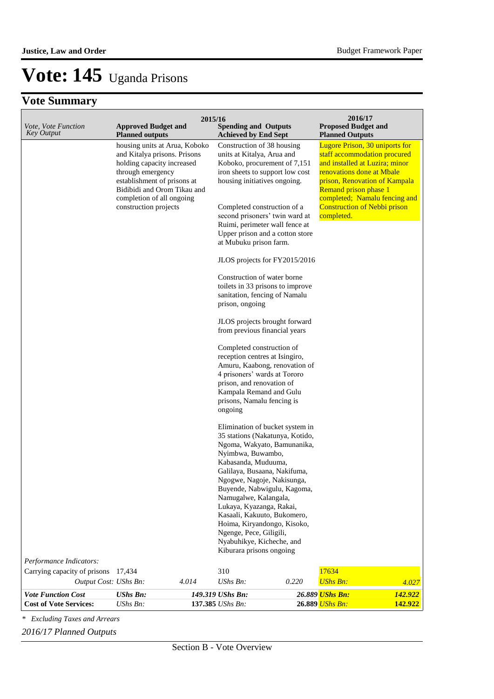## **Vote Summary**

| <i>Vote, Vote Function</i><br><b>Key Output</b>            | <b>Approved Budget and</b>                                                                                                                                                                                                                                     | 2015/16<br><b>Spending and Outputs</b>                                                                                                                                                                                                                                                                                                                                                                                                                                                                                                                                                                                                                                                                                                                                                                                                                                                                                                                                                                                                                              |       | 2016/17<br><b>Proposed Budget and</b>                                                                                                                                                                                                                                                                          |
|------------------------------------------------------------|----------------------------------------------------------------------------------------------------------------------------------------------------------------------------------------------------------------------------------------------------------------|---------------------------------------------------------------------------------------------------------------------------------------------------------------------------------------------------------------------------------------------------------------------------------------------------------------------------------------------------------------------------------------------------------------------------------------------------------------------------------------------------------------------------------------------------------------------------------------------------------------------------------------------------------------------------------------------------------------------------------------------------------------------------------------------------------------------------------------------------------------------------------------------------------------------------------------------------------------------------------------------------------------------------------------------------------------------|-------|----------------------------------------------------------------------------------------------------------------------------------------------------------------------------------------------------------------------------------------------------------------------------------------------------------------|
|                                                            | <b>Planned outputs</b><br>housing units at Arua, Koboko<br>and Kitalya prisons. Prisons<br>holding capacity increased<br>through emergency<br>establishment of prisons at<br>Bidibidi and Orom Tikau and<br>completion of all ongoing<br>construction projects | <b>Achieved by End Sept</b><br>Construction of 38 housing<br>units at Kitalya, Arua and<br>Koboko, procurement of 7,151<br>iron sheets to support low cost<br>housing initiatives ongoing.<br>Completed construction of a<br>second prisoners' twin ward at<br>Ruimi, perimeter wall fence at<br>Upper prison and a cotton store<br>at Mubuku prison farm.<br>JLOS projects for FY2015/2016<br>Construction of water borne<br>toilets in 33 prisons to improve<br>sanitation, fencing of Namalu<br>prison, ongoing<br>JLOS projects brought forward<br>from previous financial years<br>Completed construction of<br>reception centres at Isingiro,<br>Amuru, Kaabong, renovation of<br>4 prisoners' wards at Tororo<br>prison, and renovation of<br>Kampala Remand and Gulu<br>prisons, Namalu fencing is<br>ongoing<br>Elimination of bucket system in<br>35 stations (Nakatunya, Kotido,<br>Ngoma, Wakyato, Bamunanika,<br>Nyimbwa, Buwambo,<br>Kabasanda, Muduuma,<br>Galilaya, Busaana, Nakifuma,<br>Ngogwe, Nagoje, Nakisunga,<br>Buyende, Nabwigulu, Kagoma, |       | <b>Planned Outputs</b><br><b>Lugore Prison, 30 uniports for</b><br>staff accommodation procured<br>and installed at Luzira; minor<br>renovations done at Mbale<br>prison, Renovation of Kampala<br>Remand prison phase 1<br>completed; Namalu fencing and<br><b>Construction of Nebbi prison</b><br>completed. |
|                                                            |                                                                                                                                                                                                                                                                | Namugalwe, Kalangala,<br>Lukaya, Kyazanga, Rakai,<br>Kasaali, Kakuuto, Bukomero,                                                                                                                                                                                                                                                                                                                                                                                                                                                                                                                                                                                                                                                                                                                                                                                                                                                                                                                                                                                    |       |                                                                                                                                                                                                                                                                                                                |
|                                                            |                                                                                                                                                                                                                                                                | Hoima, Kiryandongo, Kisoko,<br>Ngenge, Pece, Giligili,<br>Nyabuhikye, Kicheche, and<br>Kiburara prisons ongoing                                                                                                                                                                                                                                                                                                                                                                                                                                                                                                                                                                                                                                                                                                                                                                                                                                                                                                                                                     |       |                                                                                                                                                                                                                                                                                                                |
| Performance Indicators:                                    |                                                                                                                                                                                                                                                                |                                                                                                                                                                                                                                                                                                                                                                                                                                                                                                                                                                                                                                                                                                                                                                                                                                                                                                                                                                                                                                                                     |       |                                                                                                                                                                                                                                                                                                                |
| Carrying capacity of prisons                               | 17,434                                                                                                                                                                                                                                                         | 310                                                                                                                                                                                                                                                                                                                                                                                                                                                                                                                                                                                                                                                                                                                                                                                                                                                                                                                                                                                                                                                                 |       | 17634                                                                                                                                                                                                                                                                                                          |
| Output Cost: UShs Bn:                                      | 4.014                                                                                                                                                                                                                                                          | UShs Bn:                                                                                                                                                                                                                                                                                                                                                                                                                                                                                                                                                                                                                                                                                                                                                                                                                                                                                                                                                                                                                                                            | 0.220 | <b>UShs Bn:</b><br>4.027                                                                                                                                                                                                                                                                                       |
| <b>Vote Function Cost</b><br><b>Cost of Vote Services:</b> | <b>UShs Bn:</b><br>UShs Bn:                                                                                                                                                                                                                                    | 149.319 UShs Bn:<br>137.385 UShs Bn:                                                                                                                                                                                                                                                                                                                                                                                                                                                                                                                                                                                                                                                                                                                                                                                                                                                                                                                                                                                                                                |       | 142.922<br>26.889 <mark>UShs Bn:</mark><br>142.922<br>26.889 UShs Bn:                                                                                                                                                                                                                                          |

*\* Excluding Taxes and Arrears*

*2016/17 Planned Outputs*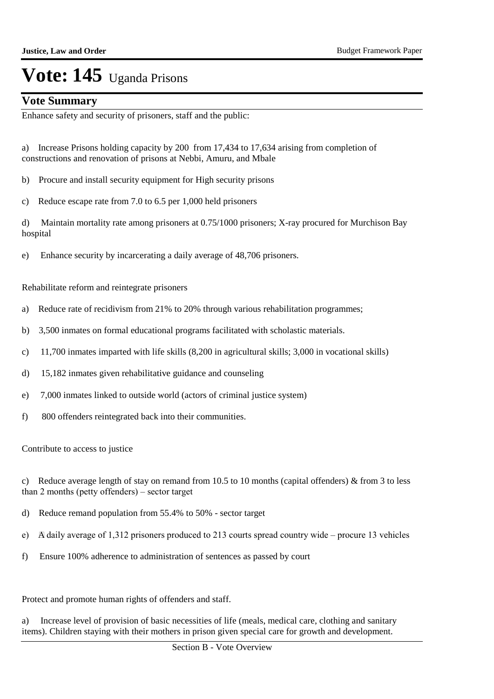### **Vote Summary**

Enhance safety and security of prisoners, staff and the public:

- a) Increase Prisons holding capacity by 200 from 17,434 to 17,634 arising from completion of constructions and renovation of prisons at Nebbi, Amuru, and Mbale
- b) Procure and install security equipment for High security prisons
- c) Reduce escape rate from 7.0 to 6.5 per 1,000 held prisoners

d) Maintain mortality rate among prisoners at 0.75/1000 prisoners; X-ray procured for Murchison Bay hospital

e) Enhance security by incarcerating a daily average of 48,706 prisoners.

Rehabilitate reform and reintegrate prisoners

- a) Reduce rate of recidivism from 21% to 20% through various rehabilitation programmes;
- b) 3,500 inmates on formal educational programs facilitated with scholastic materials.
- c) 11,700 inmates imparted with life skills (8,200 in agricultural skills; 3,000 in vocational skills)
- d) 15,182 inmates given rehabilitative guidance and counseling
- e) 7,000 inmates linked to outside world (actors of criminal justice system)
- f) 800 offenders reintegrated back into their communities.

Contribute to access to justice

- c) Reduce average length of stay on remand from 10.5 to 10 months (capital offenders)  $\&$  from 3 to less than 2 months (petty offenders) – sector target
- d) Reduce remand population from 55.4% to 50% sector target
- e) A daily average of 1,312 prisoners produced to 213 courts spread country wide procure 13 vehicles
- f) Ensure 100% adherence to administration of sentences as passed by court

Protect and promote human rights of offenders and staff.

a) Increase level of provision of basic necessities of life (meals, medical care, clothing and sanitary items). Children staying with their mothers in prison given special care for growth and development.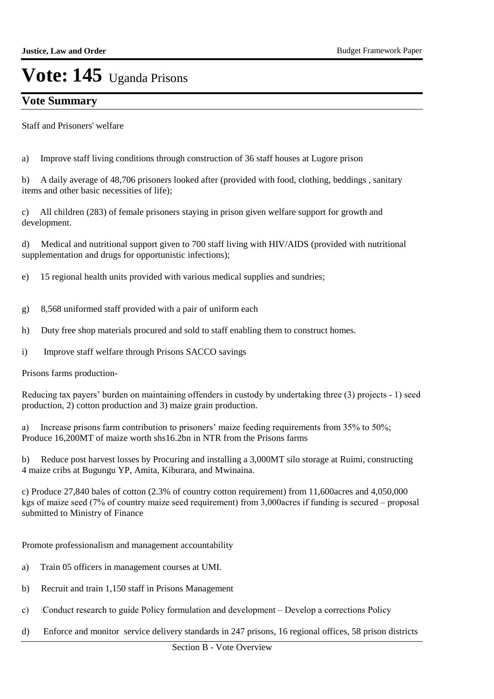## **Vote Summary**

Staff and Prisoners' welfare

a) Improve staff living conditions through construction of 36 staff houses at Lugore prison

b) A daily average of 48,706 prisoners looked after (provided with food, clothing, beddings , sanitary items and other basic necessities of life);

c) All children (283) of female prisoners staying in prison given welfare support for growth and development.

d) Medical and nutritional support given to 700 staff living with HIV/AIDS (provided with nutritional supplementation and drugs for opportunistic infections);

e) 15 regional health units provided with various medical supplies and sundries;

- g) 8,568 uniformed staff provided with a pair of uniform each
- h) Duty free shop materials procured and sold to staff enabling them to construct homes.
- i) Improve staff welfare through Prisons SACCO savings

Prisons farms production-

Reducing tax payers" burden on maintaining offenders in custody by undertaking three (3) projects - 1) seed production, 2) cotton production and 3) maize grain production.

a) Increase prisons farm contribution to prisoners' maize feeding requirements from 35% to 50%; Produce 16,200MT of maize worth shs16.2bn in NTR from the Prisons farms

b) Reduce post harvest losses by Procuring and installing a 3,000MT silo storage at Ruimi, constructing 4 maize cribs at Bugungu YP, Amita, Kiburara, and Mwinaina.

c) Produce 27,840 bales of cotton (2.3% of country cotton requirement) from 11,600acres and 4,050,000 kgs of maize seed (7% of country maize seed requirement) from 3,000acres if funding is secured – proposal submitted to Ministry of Finance

Promote professionalism and management accountability

- a) Train 05 officers in management courses at UMI.
- b) Recruit and train 1,150 staff in Prisons Management
- c) Conduct research to guide Policy formulation and development Develop a corrections Policy
- d) Enforce and monitor service delivery standards in 247 prisons, 16 regional offices, 58 prison districts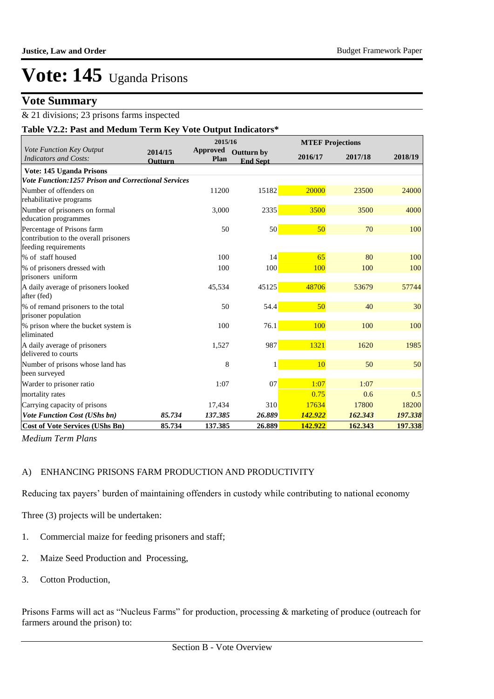### **Vote Summary**

### & 21 divisions; 23 prisons farms inspected

| <b>Vote Summary</b>                                                                         |                           |                            |                               |         |                         |         |
|---------------------------------------------------------------------------------------------|---------------------------|----------------------------|-------------------------------|---------|-------------------------|---------|
| & 21 divisions; 23 prisons farms inspected                                                  |                           |                            |                               |         |                         |         |
| Table V2.2: Past and Medum Term Key Vote Output Indicators*                                 |                           |                            |                               |         |                         |         |
| Vote Function Key Output                                                                    |                           | 2015/16<br><b>Approved</b> |                               |         | <b>MTEF Projections</b> |         |
| <b>Indicators and Costs:</b>                                                                | 2014/15<br><b>Outturn</b> | Plan                       | Outturn by<br><b>End Sept</b> | 2016/17 | 2017/18                 | 2018/19 |
| Vote: 145 Uganda Prisons                                                                    |                           |                            |                               |         |                         |         |
| Vote Function:1257 Prison and Correctional Services                                         |                           |                            |                               |         |                         |         |
| Number of offenders on<br>rehabilitative programs                                           |                           | 11200                      | 15182                         | 20000   | 23500                   | 24000   |
| Number of prisoners on formal<br>education programmes                                       |                           | 3,000                      | 2335                          | 3500    | 3500                    | 4000    |
| Percentage of Prisons farm<br>contribution to the overall prisoners<br>feeding requirements |                           | 50                         | 50                            | 50      | 70                      | 100     |
| % of staff housed                                                                           |                           | 100                        | 14                            | 65      | 80                      | 100     |
| % of prisoners dressed with<br>prisoners uniform                                            |                           | 100                        | 100                           | 100     | 100                     | 100     |
| A daily average of prisoners looked<br>after (fed)                                          |                           | 45,534                     | 45125                         | 48706   | 53679                   | 57744   |
| % of remand prisoners to the total<br>prisoner population                                   |                           | 50                         | 54.4                          | 50      | 40                      | 30      |
| % prison where the bucket system is<br>eliminated                                           |                           | 100                        | 76.1                          | 100     | 100                     | 100     |
| A daily average of prisoners<br>delivered to courts                                         |                           | 1,527                      | 987                           | 1321    | 1620                    | 1985    |
| Number of prisons whose land has<br>been surveyed                                           |                           | 8                          | $\mathbf{1}$                  | 10      | 50                      | 50      |
| Warder to prisoner ratio                                                                    |                           | 1:07                       | 07                            | 1:07    | 1:07                    |         |
| mortality rates                                                                             |                           |                            |                               | 0.75    | 0.6                     | 0.5     |
| Carrying capacity of prisons                                                                |                           | 17,434                     | 310                           | 17634   | 17800                   | 18200   |
| <b>Vote Function Cost (UShs bn)</b>                                                         | 85.734                    | 137.385                    | 26.889                        | 142.922 | 162.343                 | 197.338 |
| <b>Cost of Vote Services (UShs Bn)</b>                                                      | 85.734                    | 137.385                    | 26.889                        | 142.922 | 162.343                 | 197.338 |

*Medium Term Plans*

### A) ENHANCING PRISONS FARM PRODUCTION AND PRODUCTIVITY

Reducing tax payers" burden of maintaining offenders in custody while contributing to national economy

Three (3) projects will be undertaken:

- 1. Commercial maize for feeding prisoners and staff;
- 2. Maize Seed Production and Processing,
- 3. Cotton Production,

Prisons Farms will act as "Nucleus Farms" for production, processing & marketing of produce (outreach for farmers around the prison) to: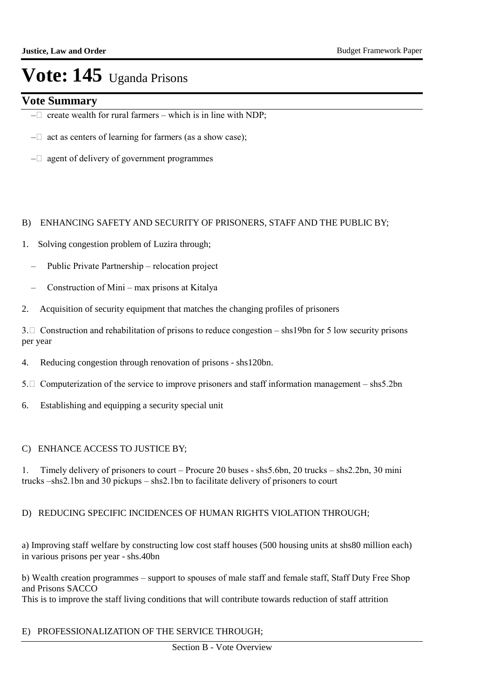### **Vote Summary**

- $-\Box$  create wealth for rural farmers which is in line with NDP;
- $-\Box$  act as centers of learning for farmers (as a show case);
- $-\Box$  agent of delivery of government programmes

### B) ENHANCING SAFETY AND SECURITY OF PRISONERS, STAFF AND THE PUBLIC BY;

- 1. Solving congestion problem of Luzira through;
	- Public Private Partnership relocation project
	- Construction of Mini max prisons at Kitalya
- 2. Acquisition of security equipment that matches the changing profiles of prisoners

3.  $\Box$  Construction and rehabilitation of prisons to reduce congestion – shs19bn for 5 low security prisons per year

- 4. Reducing congestion through renovation of prisons shs120bn.
- 5.  $\Box$  Computerization of the service to improve prisoners and staff information management shs5.2bn
- 6. Establishing and equipping a security special unit

### C) ENHANCE ACCESS TO JUSTICE BY;

1. Timely delivery of prisoners to court – Procure 20 buses - shs5.6bn, 20 trucks – shs2.2bn, 30 mini trucks –shs2.1bn and 30 pickups – shs2.1bn to facilitate delivery of prisoners to court

### D) REDUCING SPECIFIC INCIDENCES OF HUMAN RIGHTS VIOLATION THROUGH;

a) Improving staff welfare by constructing low cost staff houses (500 housing units at shs80 million each) in various prisons per year - shs.40bn

b) Wealth creation programmes – support to spouses of male staff and female staff, Staff Duty Free Shop and Prisons SACCO

This is to improve the staff living conditions that will contribute towards reduction of staff attrition

### E) PROFESSIONALIZATION OF THE SERVICE THROUGH;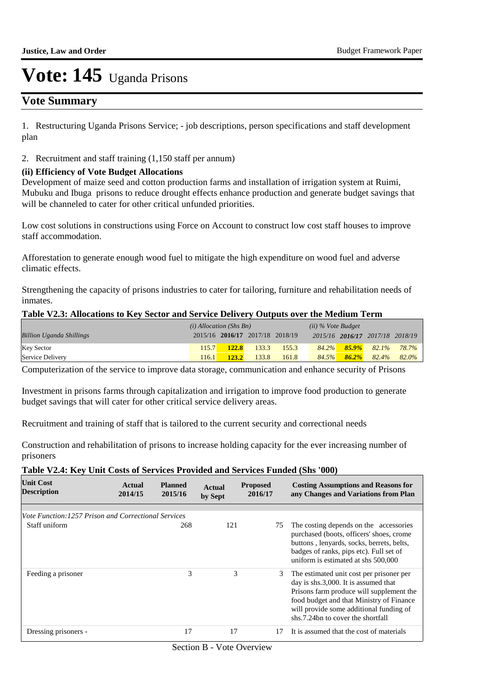## **Vote Summary**

1. Restructuring Uganda Prisons Service; - job descriptions, person specifications and staff development plan

2. Recruitment and staff training (1,150 staff per annum)

### **(ii) Efficiency of Vote Budget Allocations**

Development of maize seed and cotton production farms and installation of irrigation system at Ruimi, Mubuku and Ibuga prisons to reduce drought effects enhance production and generate budget savings that will be channeled to cater for other critical unfunded priorities.

Low cost solutions in constructions using Force on Account to construct low cost staff houses to improve staff accommodation.

Afforestation to generate enough wood fuel to mitigate the high expenditure on wood fuel and adverse climatic effects.

Strengthening the capacity of prisons industries to cater for tailoring, furniture and rehabilitation needs of inmates.

#### **Table V2.3: Allocations to Key Sector and Service Delivery Outputs over the Medium Term**

|                                 | $(i)$ Allocation (Shs Bn) |              |                                 |       | $(ii)$ % Vote Budget |          |                                 |       |
|---------------------------------|---------------------------|--------------|---------------------------------|-------|----------------------|----------|---------------------------------|-------|
| <b>Billion Uganda Shillings</b> |                           |              | 2015/16 2016/17 2017/18 2018/19 |       |                      |          | 2015/16 2016/17 2017/18 2018/19 |       |
| <b>Key Sector</b>               | 115.7                     | <b>122.8</b> | 133.3                           | 155.3 | $84.2\%$             | $85.9\%$ | 82.1%                           | 78.7% |
| Service Delivery                | 116.1                     | 123.2        | 133.8                           | 161.8 | 84.5%                | $86.2\%$ | 82.4%                           | 82.0% |

Computerization of the service to improve data storage, communication and enhance security of Prisons

Investment in prisons farms through capitalization and irrigation to improve food production to generate budget savings that will cater for other critical service delivery areas.

Recruitment and training of staff that is tailored to the current security and correctional needs

Construction and rehabilitation of prisons to increase holding capacity for the ever increasing number of prisoners

### **Table V2.4: Key Unit Costs of Services Provided and Services Funded (Shs '000)**

| <b>Unit Cost</b><br><b>Description</b>                     | Actual<br>2014/15 | <b>Planned</b><br>2015/16 | <b>Actual</b><br>by Sept | <b>Proposed</b><br>2016/17 | <b>Costing Assumptions and Reasons for</b><br>any Changes and Variations from Plan                                                                                                                                                                       |
|------------------------------------------------------------|-------------------|---------------------------|--------------------------|----------------------------|----------------------------------------------------------------------------------------------------------------------------------------------------------------------------------------------------------------------------------------------------------|
|                                                            |                   |                           |                          |                            |                                                                                                                                                                                                                                                          |
| <i>Vote Function:1257 Prison and Correctional Services</i> |                   |                           |                          |                            |                                                                                                                                                                                                                                                          |
| Staff uniform                                              |                   | 268                       | 121                      | 75                         | The costing depends on the accessories<br>purchased (boots, officers' shoes, crome<br>buttons, lenyards, socks, berrets, belts,<br>badges of ranks, pips etc). Full set of<br>uniform is estimated at shs 500,000                                        |
| Feeding a prisoner                                         |                   | 3                         | 3                        | 3                          | The estimated unit cost per prisoner per<br>day is shs.3,000. It is assumed that<br>Prisons farm produce will supplement the<br>food budget and that Ministry of Finance<br>will provide some additional funding of<br>shs.7.24bn to cover the shortfall |
| Dressing prisoners -                                       |                   | 17                        | 17                       | 17                         | It is assumed that the cost of materials                                                                                                                                                                                                                 |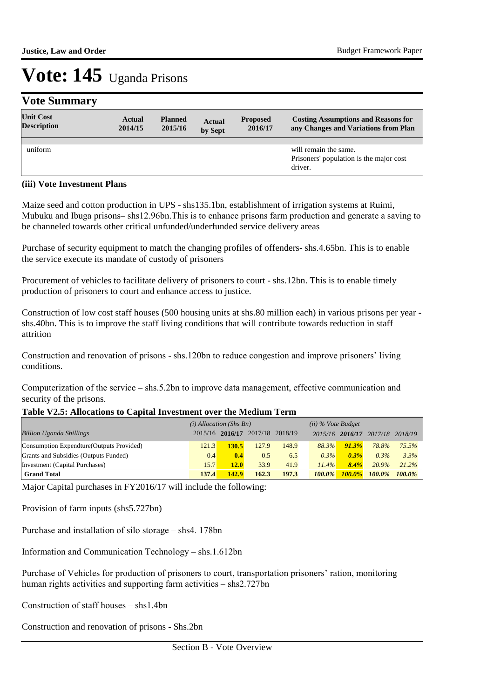## **Vote Summary**

| <b>Unit Cost</b><br><b>Description</b> | <b>Actual</b><br>2014/15 | <b>Planned</b><br>2015/16 | <b>Actual</b><br>by Sept | <b>Proposed</b><br>2016/17 | <b>Costing Assumptions and Reasons for</b><br>any Changes and Variations from Plan |
|----------------------------------------|--------------------------|---------------------------|--------------------------|----------------------------|------------------------------------------------------------------------------------|
|                                        |                          |                           |                          |                            |                                                                                    |
| uniform                                |                          |                           |                          |                            | will remain the same.<br>Prisoners' population is the major cost<br>driver.        |

### **(iii) Vote Investment Plans**

Maize seed and cotton production in UPS - shs135.1bn, establishment of irrigation systems at Ruimi, Mubuku and Ibuga prisons– shs12.96bn.This is to enhance prisons farm production and generate a saving to be channeled towards other critical unfunded/underfunded service delivery areas

Purchase of security equipment to match the changing profiles of offenders- shs.4.65bn. This is to enable the service execute its mandate of custody of prisoners

Procurement of vehicles to facilitate delivery of prisoners to court - shs.12bn. This is to enable timely production of prisoners to court and enhance access to justice.

Construction of low cost staff houses (500 housing units at shs.80 million each) in various prisons per year shs.40bn. This is to improve the staff living conditions that will contribute towards reduction in staff attrition

Construction and renovation of prisons - shs.120bn to reduce congestion and improve prisoners' living conditions.

Computerization of the service – shs.5.2bn to improve data management, effective communication and security of the prisons.

### **Table V2.5: Allocations to Capital Investment over the Medium Term**

|                                           | $(i)$ Allocation (Shs Bn) |                                 |       |       | $(ii)$ % Vote Budget |                 |           |           |
|-------------------------------------------|---------------------------|---------------------------------|-------|-------|----------------------|-----------------|-----------|-----------|
| <b>Billion Uganda Shillings</b>           |                           | 2015/16 2016/17 2017/18 2018/19 |       |       |                      | 2015/16 2016/17 | 2017/18   | 2018/19   |
| Consumption Expendture (Outputs Provided) | 121.3                     | 130.5                           | 127.9 | 148.9 | 88.3%                | 91.3%           | 78.8%     | 75.5%     |
| Grants and Subsidies (Outputs Funded)     | 0.4                       | 0.4                             | 0.5   | 6.5   | $0.3\%$              | $0.3\%$         | $0.3\%$   | 3.3%      |
| Investment (Capital Purchases)            | 15.7                      | 12.0                            | 33.9  | 41.9  | 11.4%                | 8.4%            | 20.9%     | 21.2%     |
| <b>Grand Total</b>                        | 137.4                     | 142.9                           | 162.3 | 197.3 | $100.0\%$            | $100.0\%$       | $100.0\%$ | $100.0\%$ |

Major Capital purchases in FY2016/17 will include the following:

Provision of farm inputs (shs5.727bn)

Purchase and installation of silo storage – shs4. 178bn

Information and Communication Technology – shs.1.612bn

Purchase of Vehicles for production of prisoners to court, transportation prisoners' ration, monitoring human rights activities and supporting farm activities – shs2.727bn

Construction of staff houses – shs1.4bn

Construction and renovation of prisons - Shs.2bn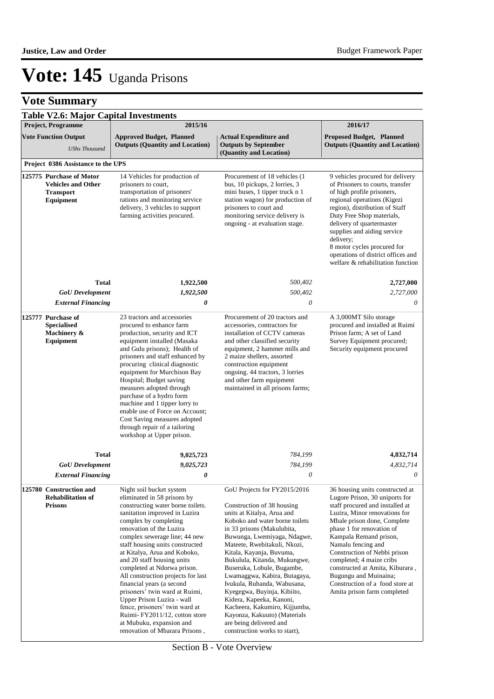## **Vote Summary**

|                                                                                        | <b>Table V2.6: Major Capital Investments</b>                          |                                                                                                                                                                                                                                                                                                                                                                                                                                                                                                                                                                                                                         |                                                                                                                                                                                                                                                                                                                                                                                                                                                                                                                                                                          |                                                                                                                                                                                                                                                                                                                                                                                                                                             |
|----------------------------------------------------------------------------------------|-----------------------------------------------------------------------|-------------------------------------------------------------------------------------------------------------------------------------------------------------------------------------------------------------------------------------------------------------------------------------------------------------------------------------------------------------------------------------------------------------------------------------------------------------------------------------------------------------------------------------------------------------------------------------------------------------------------|--------------------------------------------------------------------------------------------------------------------------------------------------------------------------------------------------------------------------------------------------------------------------------------------------------------------------------------------------------------------------------------------------------------------------------------------------------------------------------------------------------------------------------------------------------------------------|---------------------------------------------------------------------------------------------------------------------------------------------------------------------------------------------------------------------------------------------------------------------------------------------------------------------------------------------------------------------------------------------------------------------------------------------|
|                                                                                        | Project, Programme                                                    | 2015/16                                                                                                                                                                                                                                                                                                                                                                                                                                                                                                                                                                                                                 |                                                                                                                                                                                                                                                                                                                                                                                                                                                                                                                                                                          | 2016/17                                                                                                                                                                                                                                                                                                                                                                                                                                     |
|                                                                                        | <b>Vote Function Output</b><br><b>UShs Thousand</b>                   | <b>Approved Budget, Planned</b><br><b>Outputs (Quantity and Location)</b>                                                                                                                                                                                                                                                                                                                                                                                                                                                                                                                                               | <b>Actual Expenditure and</b><br><b>Outputs by September</b><br>(Quantity and Location)                                                                                                                                                                                                                                                                                                                                                                                                                                                                                  | <b>Proposed Budget, Planned</b><br><b>Outputs (Quantity and Location)</b>                                                                                                                                                                                                                                                                                                                                                                   |
|                                                                                        | Project 0386 Assistance to the UPS                                    |                                                                                                                                                                                                                                                                                                                                                                                                                                                                                                                                                                                                                         |                                                                                                                                                                                                                                                                                                                                                                                                                                                                                                                                                                          |                                                                                                                                                                                                                                                                                                                                                                                                                                             |
| 125775 Purchase of Motor<br><b>Vehicles and Other</b><br><b>Transport</b><br>Equipment |                                                                       | 14 Vehicles for production of<br>prisoners to court,<br>transportation of prisoners'<br>rations and monitoring service<br>delivery, 3 vehicles to support<br>farming activities procured.                                                                                                                                                                                                                                                                                                                                                                                                                               | Procurement of 18 vehicles (1)<br>bus, 10 pickups, 2 lorries, 3<br>mini buses, 1 tipper truck n 1<br>station wagon) for production of<br>prisoners to court and<br>monitoring service delivery is<br>ongoing - at evaluation stage.                                                                                                                                                                                                                                                                                                                                      | 9 vehicles procured for delivery<br>of Prisoners to courts, transfer<br>of high profile prisoners,<br>regional operations (Kigezi<br>region), distribution of Staff<br>Duty Free Shop materials,<br>delivery of quartermaster<br>supplies and aiding service<br>delivery;<br>8 motor cycles procured for<br>operations of district offices and<br>welfare & rehabilitation function                                                         |
|                                                                                        | <b>Total</b>                                                          | 1,922,500                                                                                                                                                                                                                                                                                                                                                                                                                                                                                                                                                                                                               | 500,402                                                                                                                                                                                                                                                                                                                                                                                                                                                                                                                                                                  | 2,727,000                                                                                                                                                                                                                                                                                                                                                                                                                                   |
|                                                                                        | <b>GoU</b> Development                                                | 1,922,500                                                                                                                                                                                                                                                                                                                                                                                                                                                                                                                                                                                                               | 500,402                                                                                                                                                                                                                                                                                                                                                                                                                                                                                                                                                                  | 2,727,000                                                                                                                                                                                                                                                                                                                                                                                                                                   |
|                                                                                        | <b>External Financing</b>                                             | 0                                                                                                                                                                                                                                                                                                                                                                                                                                                                                                                                                                                                                       | 0                                                                                                                                                                                                                                                                                                                                                                                                                                                                                                                                                                        | 0                                                                                                                                                                                                                                                                                                                                                                                                                                           |
|                                                                                        | 125777 Purchase of<br><b>Specialised</b><br>Machinery &<br>Equipment  | 23 tractors and accessories<br>procured to enhance farm<br>production, security and ICT<br>equipment installed (Masaka<br>and Gulu prisons); Health of<br>prisoners and staff enhanced by<br>procuring clinical diagnostic<br>equipment for Murchison Bay<br>Hospital; Budget saving<br>measures adopted through<br>purchase of a hydro form<br>machine and 1 tipper lorry to<br>enable use of Force on Account;<br>Cost Saving measures adopted<br>through repair of a tailoring<br>workshop at Upper prison.                                                                                                          | Procurement of 20 tractors and<br>accessories, contractors for<br>installation of CCTV cameras<br>and other classified security<br>equipment, 2 hammer mills and<br>2 maize shellers, assorted<br>construction equipment<br>ongoing. 44 tractors, 3 lorries<br>and other farm equipment<br>maintained in all prisons farms;                                                                                                                                                                                                                                              | A 3,000MT Silo storage<br>procured and installed at Ruimi<br>Prison farm; A set of Land<br>Survey Equipment procured;<br>Security equipment procured                                                                                                                                                                                                                                                                                        |
|                                                                                        | Total                                                                 | 9,025,723                                                                                                                                                                                                                                                                                                                                                                                                                                                                                                                                                                                                               | 784,199                                                                                                                                                                                                                                                                                                                                                                                                                                                                                                                                                                  | 4,832,714                                                                                                                                                                                                                                                                                                                                                                                                                                   |
|                                                                                        | <b>GoU</b> Development                                                | 9,025,723                                                                                                                                                                                                                                                                                                                                                                                                                                                                                                                                                                                                               | 784,199                                                                                                                                                                                                                                                                                                                                                                                                                                                                                                                                                                  | 4,832,714                                                                                                                                                                                                                                                                                                                                                                                                                                   |
|                                                                                        | <b>External Financing</b>                                             | 0                                                                                                                                                                                                                                                                                                                                                                                                                                                                                                                                                                                                                       | 0                                                                                                                                                                                                                                                                                                                                                                                                                                                                                                                                                                        | $\theta$                                                                                                                                                                                                                                                                                                                                                                                                                                    |
|                                                                                        | 125780 Construction and<br><b>Rehabilitation of</b><br><b>Prisons</b> | Night soil bucket system<br>eliminated in 58 prisons by<br>constructing water borne toilets.<br>sanitation improved in Luzira<br>complex by completing<br>renovation of the Luzira<br>complex sewerage line; 44 new<br>staff housing units constructed<br>at Kitalya, Arua and Koboko,<br>and 20 staff housing units<br>completed at Ndorwa prison.<br>All construction projects for last<br>financial years (a second<br>prisoners' twin ward at Ruimi,<br>Upper Prison Luzira - wall<br>fence, prisoners' twin ward at<br>Ruimi-FY2011/12, cotton store<br>at Mubuku, expansion and<br>renovation of Mbarara Prisons, | GoU Projects for FY2015/2016<br>Construction of 38 housing<br>units at Kitalya, Arua and<br>Koboko and water borne toilets<br>in 33 prisons (Makulubita,<br>Buwunga, Lwemiyaga, Ndagwe,<br>Mateete, Rwebitakuli, Nkozi,<br>Kitala, Kayanja, Buvuma,<br>Bukulula, Kitanda, Mukungwe,<br>Buseruka, Lobule, Bugambe,<br>Lwamaggwa, Kabira, Butagaya,<br>Ivukula, Rubanda, Wabusana,<br>Kyegegwa, Buyinja, Kibiito,<br>Kidera, Kapeeka, Kanoni,<br>Kacheera, Kakumiro, Kijjumba,<br>Kayonza, Kakuuto) (Materials<br>are being delivered and<br>construction works to start), | 36 housing units constructed at<br>Lugore Prison, 30 uniports for<br>staff procured and installed at<br>Luzira, Minor renovations for<br>Mbale prison done, Complete<br>phase 1 for renovation of<br>Kampala Remand prison,<br>Namalu fencing and<br>Construction of Nebbi prison<br>completed; 4 maize cribs<br>constructed at Amita, Kiburara,<br>Bugungu and Muinaina;<br>Construction of a food store at<br>Amita prison farm completed |

Section B - Vote Overview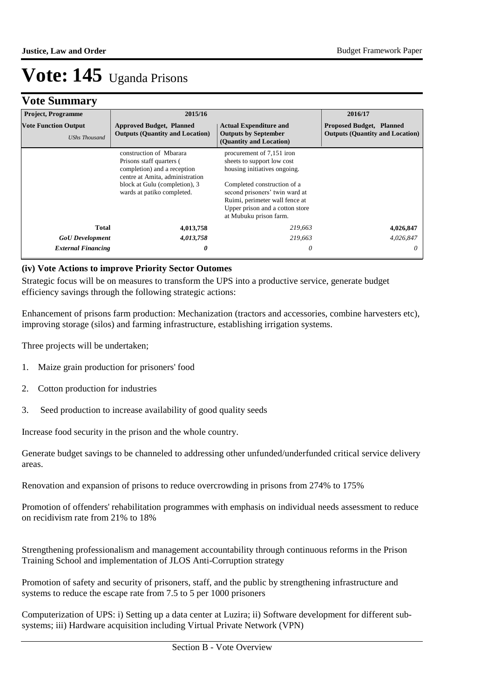## **Vote Summary**

| <b>Project, Programme</b>                           | 2015/16                                                                                                                                                                              |                                                                                                                                                                                                                                                         | 2016/17                                                                   |
|-----------------------------------------------------|--------------------------------------------------------------------------------------------------------------------------------------------------------------------------------------|---------------------------------------------------------------------------------------------------------------------------------------------------------------------------------------------------------------------------------------------------------|---------------------------------------------------------------------------|
| <b>Vote Function Output</b><br><b>UShs Thousand</b> | <b>Approved Budget, Planned</b><br><b>Outputs (Quantity and Location)</b>                                                                                                            | <b>Actual Expenditure and</b><br><b>Outputs by September</b><br>(Quantity and Location)                                                                                                                                                                 | <b>Proposed Budget, Planned</b><br><b>Outputs (Quantity and Location)</b> |
|                                                     | construction of Mbarara<br>Prisons staff quarters (<br>completion) and a reception<br>centre at Amita, administration<br>block at Gulu (completion), 3<br>wards at patiko completed. | procurement of 7,151 iron<br>sheets to support low cost<br>housing initiatives ongoing.<br>Completed construction of a<br>second prisoners' twin ward at<br>Ruimi, perimeter wall fence at<br>Upper prison and a cotton store<br>at Mubuku prison farm. |                                                                           |
| <b>Total</b>                                        | 4,013,758                                                                                                                                                                            | 219,663                                                                                                                                                                                                                                                 | 4,026,847                                                                 |
| <b>GoU</b> Development                              | 4,013,758                                                                                                                                                                            | 219,663                                                                                                                                                                                                                                                 | 4,026,847                                                                 |
| <b>External Financing</b>                           | 0                                                                                                                                                                                    | 0                                                                                                                                                                                                                                                       |                                                                           |

### **(iv) Vote Actions to improve Priority Sector Outomes**

Strategic focus will be on measures to transform the UPS into a productive service, generate budget efficiency savings through the following strategic actions:

Enhancement of prisons farm production: Mechanization (tractors and accessories, combine harvesters etc), improving storage (silos) and farming infrastructure, establishing irrigation systems.

Three projects will be undertaken;

- 1. Maize grain production for prisoners' food
- 2. Cotton production for industries
- 3. Seed production to increase availability of good quality seeds

Increase food security in the prison and the whole country.

Generate budget savings to be channeled to addressing other unfunded/underfunded critical service delivery areas.

Renovation and expansion of prisons to reduce overcrowding in prisons from 274% to 175%

Promotion of offenders' rehabilitation programmes with emphasis on individual needs assessment to reduce on recidivism rate from 21% to 18%

Strengthening professionalism and management accountability through continuous reforms in the Prison Training School and implementation of JLOS Anti-Corruption strategy

Promotion of safety and security of prisoners, staff, and the public by strengthening infrastructure and systems to reduce the escape rate from 7.5 to 5 per 1000 prisoners

Computerization of UPS: i) Setting up a data center at Luzira; ii) Software development for different subsystems; iii) Hardware acquisition including Virtual Private Network (VPN)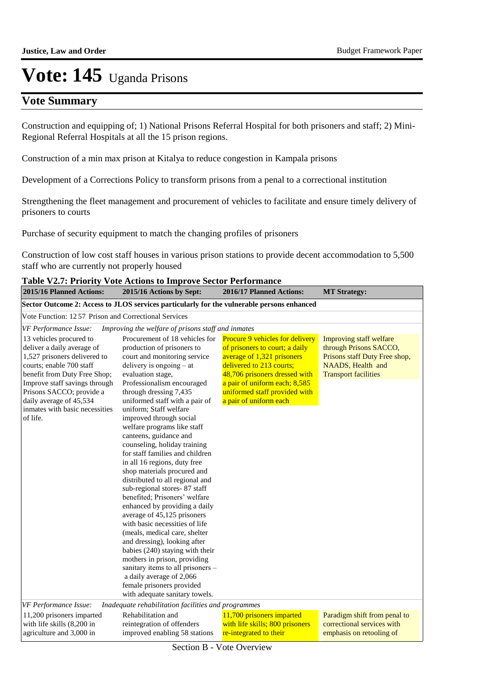## **Vote Summary**

Construction and equipping of; 1) National Prisons Referral Hospital for both prisoners and staff; 2) Mini-Regional Referral Hospitals at all the 15 prison regions.

Construction of a min max prison at Kitalya to reduce congestion in Kampala prisons

Development of a Corrections Policy to transform prisons from a penal to a correctional institution

Strengthening the fleet management and procurement of vehicles to facilitate and ensure timely delivery of prisoners to courts

Purchase of security equipment to match the changing profiles of prisoners

Construction of low cost staff houses in various prison stations to provide decent accommodation to 5,500 staff who are currently not properly housed

| 2015/16 Planned Actions:                                                                                                                                                                                                                                                                | 2015/16 Actions by Sept:                                                                                                                                                                                                                                                                                                                                                                                                                                                                                                                                                                                                                                                                                                                                                                                                                                                                                                                                            | 2016/17 Planned Actions:                                                                                                                                                                                                                                 | <b>MT Strategy:</b>                                                                                                                    |
|-----------------------------------------------------------------------------------------------------------------------------------------------------------------------------------------------------------------------------------------------------------------------------------------|---------------------------------------------------------------------------------------------------------------------------------------------------------------------------------------------------------------------------------------------------------------------------------------------------------------------------------------------------------------------------------------------------------------------------------------------------------------------------------------------------------------------------------------------------------------------------------------------------------------------------------------------------------------------------------------------------------------------------------------------------------------------------------------------------------------------------------------------------------------------------------------------------------------------------------------------------------------------|----------------------------------------------------------------------------------------------------------------------------------------------------------------------------------------------------------------------------------------------------------|----------------------------------------------------------------------------------------------------------------------------------------|
|                                                                                                                                                                                                                                                                                         | Sector Outcome 2: Access to JLOS services particularly for the vulnerable persons enhanced                                                                                                                                                                                                                                                                                                                                                                                                                                                                                                                                                                                                                                                                                                                                                                                                                                                                          |                                                                                                                                                                                                                                                          |                                                                                                                                        |
| Vote Function: 12.57 Prison and Correctional Services                                                                                                                                                                                                                                   |                                                                                                                                                                                                                                                                                                                                                                                                                                                                                                                                                                                                                                                                                                                                                                                                                                                                                                                                                                     |                                                                                                                                                                                                                                                          |                                                                                                                                        |
| <b>VF</b> Performance Issue:                                                                                                                                                                                                                                                            | Improving the welfare of prisons staff and inmates                                                                                                                                                                                                                                                                                                                                                                                                                                                                                                                                                                                                                                                                                                                                                                                                                                                                                                                  |                                                                                                                                                                                                                                                          |                                                                                                                                        |
| 13 vehicles procured to<br>deliver a daily average of<br>1,527 prisoners delivered to<br>courts; enable 700 staff<br>benefit from Duty Free Shop;<br>Improve staff savings through<br>Prisons SACCO; provide a<br>daily average of 45,534<br>inmates with basic necessities<br>of life. | Procurement of 18 vehicles for<br>production of prisoners to<br>court and monitoring service<br>delivery is ongoing $-$ at<br>evaluation stage,<br>Professionalism encouraged<br>through dressing 7,435<br>uniformed staff with a pair of<br>uniform: Staff welfare<br>improved through social<br>welfare programs like staff<br>canteens, guidance and<br>counseling, holiday training<br>for staff families and children<br>in all 16 regions, duty free<br>shop materials procured and<br>distributed to all regional and<br>sub-regional stores-87 staff<br>benefited: Prisoners' welfare<br>enhanced by providing a daily<br>average of 45,125 prisoners<br>with basic necessities of life<br>(meals, medical care, shelter<br>and dressing), looking after<br>babies (240) staying with their<br>mothers in prison, providing<br>sanitary items to all prisoners -<br>a daily average of 2,066<br>female prisoners provided<br>with adequate sanitary towels. | Procure 9 vehicles for delivery<br>of prisoners to court; a daily<br>average of 1,321 prisoners<br>delivered to 213 courts;<br>48,706 prisoners dressed with<br>a pair of uniform each; 8,585<br>uniformed staff provided with<br>a pair of uniform each | Improving staff welfare<br>through Prisons SACCO,<br>Prisons staff Duty Free shop,<br>NAADS, Health and<br><b>Transport facilities</b> |
| VF Performance Issue:<br>11,200 prisoners imparted<br>with life skills (8,200 in<br>agriculture and 3,000 in                                                                                                                                                                            | Inadequate rehabilitation facilities and programmes<br>Rehabilitation and<br>reintegration of offenders<br>improved enabling 58 stations                                                                                                                                                                                                                                                                                                                                                                                                                                                                                                                                                                                                                                                                                                                                                                                                                            | 11,700 prisoners imparted<br>with life skills; 800 prisoners<br>re-integrated to their                                                                                                                                                                   | Paradigm shift from penal to<br>correctional services with<br>emphasis on retooling of                                                 |

**Table V2.7: Priority Vote Actions to Improve Sector Porf**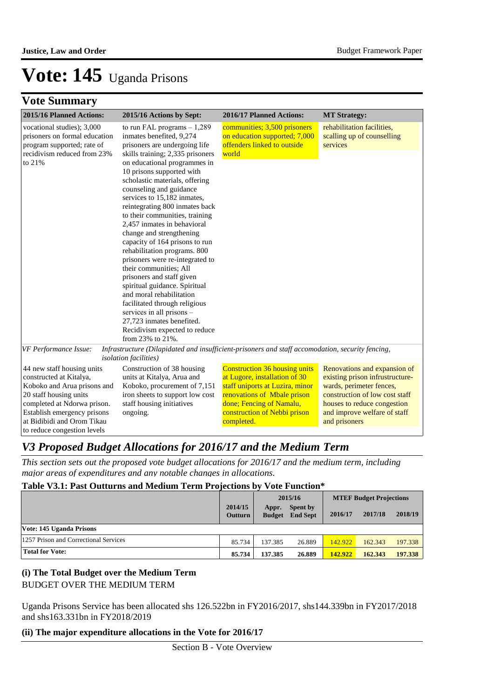## **Vote Summary**

| 2015/16 Planned Actions:                                                                                                                                                                                                                  | 2015/16 Actions by Sept:                                                                                                                                                                                                                                                                                                                                                                                                                                                                                                                                                                                                                                                                                                                                                                       | 2016/17 Planned Actions:                                                                                                                                                                                          | <b>MT Strategy:</b>                                                                                                                                                                                           |
|-------------------------------------------------------------------------------------------------------------------------------------------------------------------------------------------------------------------------------------------|------------------------------------------------------------------------------------------------------------------------------------------------------------------------------------------------------------------------------------------------------------------------------------------------------------------------------------------------------------------------------------------------------------------------------------------------------------------------------------------------------------------------------------------------------------------------------------------------------------------------------------------------------------------------------------------------------------------------------------------------------------------------------------------------|-------------------------------------------------------------------------------------------------------------------------------------------------------------------------------------------------------------------|---------------------------------------------------------------------------------------------------------------------------------------------------------------------------------------------------------------|
| vocational studies); 3,000<br>prisoners on formal education<br>program supported; rate of<br>recidivism reduced from 23%<br>to 21%                                                                                                        | to run FAL programs $-1,289$<br>inmates benefited, 9,274<br>prisoners are undergoing life<br>skills training; 2,335 prisoners<br>on educational programmes in<br>10 prisons supported with<br>scholastic materials, offering<br>counseling and guidance<br>services to 15,182 inmates,<br>reintegrating 800 inmates back<br>to their communities, training<br>2,457 inmates in behavioral<br>change and strengthening<br>capacity of 164 prisons to run<br>rehabilitation programs. 800<br>prisoners were re-integrated to<br>their communities; All<br>prisoners and staff given<br>spiritual guidance. Spiritual<br>and moral rehabilitation<br>facilitated through religious<br>services in all prisons -<br>27,723 inmates benefited.<br>Recidivism expected to reduce<br>from 23% to 21%. | communities; 3,500 prisoners<br>on education supported; 7,000<br>offenders linked to outside<br>world                                                                                                             | rehabilitation facilities,<br>scalling up of counselling<br>services                                                                                                                                          |
| VF Performance Issue:                                                                                                                                                                                                                     | Infrastructure (Dilapidated and insufficient-prisoners and staff accomodation, security fencing,<br><i>isolation facilities</i> )                                                                                                                                                                                                                                                                                                                                                                                                                                                                                                                                                                                                                                                              |                                                                                                                                                                                                                   |                                                                                                                                                                                                               |
| 44 new staff housing units<br>constructed at Kitalya,<br>Koboko and Arua prisons and<br>20 staff housing units<br>completed at Ndorwa prison.<br>Establish emergency prisons<br>at Bidibidi and Orom Tikau<br>to reduce congestion levels | Construction of 38 housing<br>units at Kitalya, Arua and<br>Koboko, procurement of 7,151<br>iron sheets to support low cost<br>staff housing initiatives<br>ongoing.                                                                                                                                                                                                                                                                                                                                                                                                                                                                                                                                                                                                                           | <b>Construction 36 housing units</b><br>at Lugore, installation of 30<br>staff uniports at Luzira, minor<br>renovations of Mbale prison<br>done; Fencing of Namalu,<br>construction of Nebbi prison<br>completed. | Renovations and expansion of<br>existing prison infrustructure-<br>wards, perimeter fences,<br>construction of low cost staff<br>houses to reduce congestion<br>and improve welfare of staff<br>and prisoners |

## *V3 Proposed Budget Allocations for 2016/17 and the Medium Term*

*This section sets out the proposed vote budget allocations for 2016/17 and the medium term, including major areas of expenditures and any notable changes in allocations.* 

### **Table V3.1: Past Outturns and Medium Term Projections by Vote Function\***

|                                       |                    | 2015/16                |                             | <b>MTEF Budget Projections</b> |         |         |
|---------------------------------------|--------------------|------------------------|-----------------------------|--------------------------------|---------|---------|
|                                       | 2014/15<br>Outturn | Appr.<br><b>Budget</b> | Spent by<br><b>End Sept</b> | 2016/17                        | 2017/18 | 2018/19 |
| Vote: 145 Uganda Prisons              |                    |                        |                             |                                |         |         |
| 1257 Prison and Correctional Services | 85.734             | 137.385                | 26.889                      | 142.922                        | 162.343 | 197.338 |
| <b>Total for Vote:</b>                | 85.734             | 137.385                | 26.889                      | 142.922                        | 162.343 | 197.338 |

### **(i) The Total Budget over the Medium Term** BUDGET OVER THE MEDIUM TERM

Uganda Prisons Service has been allocated shs 126.522bn in FY2016/2017, shs144.339bn in FY2017/2018 and shs163.331bn in FY2018/2019

### **(ii) The major expenditure allocations in the Vote for 2016/17**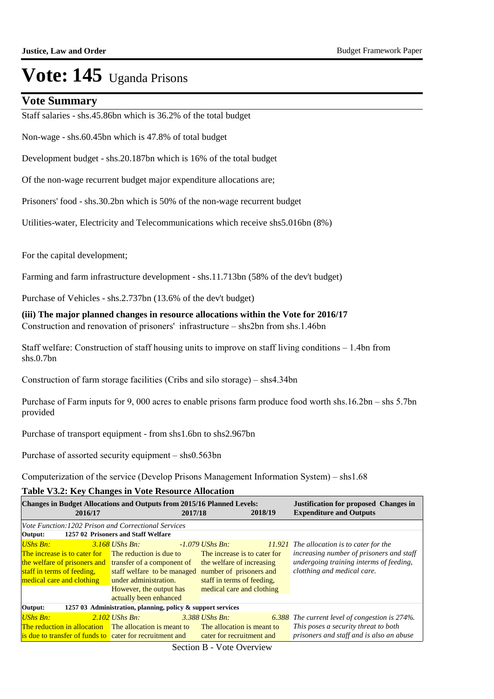### **Vote Summary**

Staff salaries - shs.45.86bn which is 36.2% of the total budget

Non-wage - shs.60.45bn which is 47.8% of total budget

Development budget - shs.20.187bn which is 16% of the total budget

Of the non-wage recurrent budget major expenditure allocations are;

Prisoners' food - shs.30.2bn which is 50% of the non-wage recurrent budget

Utilities-water, Electricity and Telecommunications which receive shs5.016bn (8%)

For the capital development;

Farming and farm infrastructure development - shs.11.713bn (58% of the dev't budget)

Purchase of Vehicles - shs.2.737bn (13.6% of the dev't budget)

**(iii) The major planned changes in resource allocations within the Vote for 2016/17** Construction and renovation of prisoners' infrastructure – shs2bn from shs.1.46bn

Staff welfare: Construction of staff housing units to improve on staff living conditions – 1.4bn from shs.0.7bn

Construction of farm storage facilities (Cribs and silo storage) – shs4.34bn

Purchase of Farm inputs for 9, 000 acres to enable prisons farm produce food worth shs.16.2bn – shs 5.7bn provided

Purchase of transport equipment - from shs1.6bn to shs2.967bn

Purchase of assorted security equipment – shs0.563bn

Computerization of the service (Develop Prisons Management Information System) – shs1.68

**Table V3.2: Key Changes in Vote Resource Allocation**

| <b>Changes in Budget Allocations and Outputs from 2015/16 Planned Levels:</b><br>2016/17                                                                              |                                                                                                                                                        | 2017/18                                                                                                                                                            | 2018/19 | <b>Justification for proposed Changes in</b><br><b>Expenditure and Outputs</b>                                                                                    |
|-----------------------------------------------------------------------------------------------------------------------------------------------------------------------|--------------------------------------------------------------------------------------------------------------------------------------------------------|--------------------------------------------------------------------------------------------------------------------------------------------------------------------|---------|-------------------------------------------------------------------------------------------------------------------------------------------------------------------|
| Vote Function: 1202 Prison and Correctional Services<br>Output:                                                                                                       | 1257 02 Prisoners and Staff Welfare                                                                                                                    |                                                                                                                                                                    |         |                                                                                                                                                                   |
| <b>UShs Bn:</b><br>The increase is to cater for<br>the welfare of prisoners and transfer of a component of<br>staff in terms of feeding,<br>medical care and clothing | 3.168 UShs Bn:<br>The reduction is due to<br>staff welfare to be managed<br>under administration.<br>However, the output has<br>actually been enhanced | -1.079 UShs Bn:<br>The increase is to cater for<br>the welfare of increasing<br>number of prisoners and<br>staff in terms of feeding.<br>medical care and clothing |         | $11.921$ The allocation is to cater for the<br>increasing number of prisoners and staff<br>undergoing training interms of feeding,<br>clotthing and medical care. |
| Output:                                                                                                                                                               | 1257 03 Administration, planning, policy & support services                                                                                            |                                                                                                                                                                    |         |                                                                                                                                                                   |
| <b>UShs Bn:</b><br><b>The reduction in allocation</b> The allocation is meant to<br>is due to transfer of funds to cater for recruitment and                          | $2.102$ UShs Bn:                                                                                                                                       | $3.388$ UShs Bn.<br>The allocation is meant to<br>cater for recruitment and                                                                                        |         | <b>6.388</b> The current level of congestion is 274%.<br>This poses a security threat to both<br>prisoners and staff and is also an abuse                         |

Section B - Vote Overview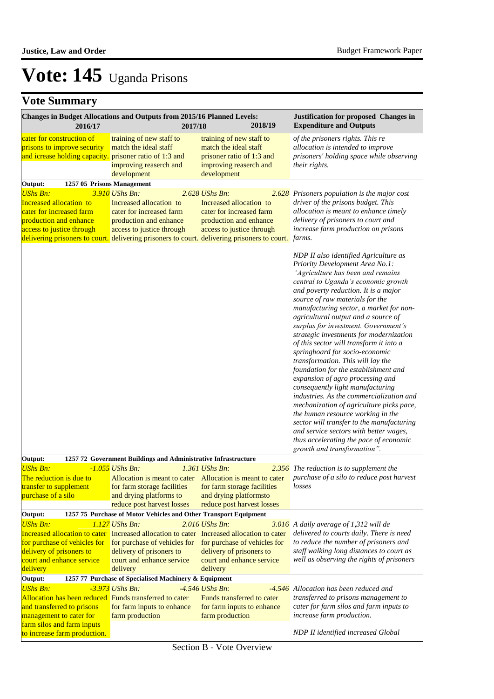| Changes in Budget Allocations and Outputs from 2015/16 Planned Levels:<br>2016/17                                                                                | 2017/18                                                                                                                      | 2018/19                                                                                                                                                                                                                      | Justification for proposed Changes in<br><b>Expenditure and Outputs</b>                                                                                                                                                                                                                                                                                                                                                                                                                                                                                                                                                                                                                                                                                                                                                                                                                                                             |
|------------------------------------------------------------------------------------------------------------------------------------------------------------------|------------------------------------------------------------------------------------------------------------------------------|------------------------------------------------------------------------------------------------------------------------------------------------------------------------------------------------------------------------------|-------------------------------------------------------------------------------------------------------------------------------------------------------------------------------------------------------------------------------------------------------------------------------------------------------------------------------------------------------------------------------------------------------------------------------------------------------------------------------------------------------------------------------------------------------------------------------------------------------------------------------------------------------------------------------------------------------------------------------------------------------------------------------------------------------------------------------------------------------------------------------------------------------------------------------------|
| cater for construction of<br>prisons to improve security<br>and icrease holding capacity. prisoner ratio of 1:3 and                                              | training of new staff to<br>match the ideal staff<br>improving reaserch and<br>development                                   | training of new staff to<br>match the ideal staff<br>prisoner ratio of 1:3 and<br>improving reaserch and<br>development                                                                                                      | of the prisoners rights. This re<br>allocation is intended to improve<br>prisoners' holding space while observing<br>their rights.                                                                                                                                                                                                                                                                                                                                                                                                                                                                                                                                                                                                                                                                                                                                                                                                  |
| Output:<br>1257 05 Prisons Management                                                                                                                            |                                                                                                                              |                                                                                                                                                                                                                              |                                                                                                                                                                                                                                                                                                                                                                                                                                                                                                                                                                                                                                                                                                                                                                                                                                                                                                                                     |
| <b>UShs Bn:</b><br>Increased allocation to<br>cater for increased farm<br>production and enhance<br>access to justice through                                    | 3.910 UShs Bn:<br>Increased allocation to<br>cater for increased farm<br>production and enhance<br>access to justice through | 2.628 UShs Bn:<br>Increased allocation to<br>cater for increased farm<br>production and enhance<br>access to justice through<br>delivering prisoners to court. delivering prisoners to court. delivering prisoners to court. | 2.628 Prisoners population is the major cost<br>driver of the prisons budget. This<br>allocation is meant to enhance timely<br>delivery of prisoners to court and<br>increase farm production on prisons<br>farms.                                                                                                                                                                                                                                                                                                                                                                                                                                                                                                                                                                                                                                                                                                                  |
|                                                                                                                                                                  |                                                                                                                              |                                                                                                                                                                                                                              | NDP II also identified Agriculture as<br>Priority Development Area No.1:<br>"Agriculture has been and remains<br>central to Uganda's economic growth<br>and poverty reduction. It is a major<br>source of raw materials for the<br>manufacturing sector, a market for non-<br>agricultural output and a source of<br>surplus for investment. Government's<br>strategic investments for modernization<br>of this sector will transform it into a<br>springboard for socio-economic<br>transformation. This will lay the<br>foundation for the establishment and<br>expansion of agro processing and<br>consequently light manufacturing<br>industries. As the commercialization and<br>mechanization of agriculture picks pace,<br>the human resource working in the<br>sector will transfer to the manufacturing<br>and service sectors with better wages,<br>thus accelerating the pace of economic<br>growth and transformation". |
| Output:                                                                                                                                                          | 1257 72 Government Buildings and Administrative Infrastructure                                                               |                                                                                                                                                                                                                              |                                                                                                                                                                                                                                                                                                                                                                                                                                                                                                                                                                                                                                                                                                                                                                                                                                                                                                                                     |
| <b>UShs Bn:</b><br>The reduction is due to<br>transfer to supplement<br>purchase of a silo                                                                       | $-1.055$ UShs Bn:<br>for farm storage facilities<br>and drying platforms to<br>reduce post harvest losses                    | 1.361 UShs Bn:<br>Allocation is meant to cater Allocation is meant to cater<br>for farm storage facilities<br>and drying platformsto<br>reduce post harvest losses                                                           | 2.356 The reduction is to supplement the<br>purchase of a silo to reduce post harvest<br>losses                                                                                                                                                                                                                                                                                                                                                                                                                                                                                                                                                                                                                                                                                                                                                                                                                                     |
| Output:                                                                                                                                                          | 1257 75 Purchase of Motor Vehicles and Other Transport Equipment<br>1.127 UShs Bn:                                           |                                                                                                                                                                                                                              |                                                                                                                                                                                                                                                                                                                                                                                                                                                                                                                                                                                                                                                                                                                                                                                                                                                                                                                                     |
| <b>UShs Bn:</b><br>for purchase of vehicles for<br>delivery of prisoners to<br>court and enhance service<br>delivery                                             | for purchase of vehicles for<br>delivery of prisoners to<br>court and enhance service<br>delivery                            | 2.016 UShs Bn:<br>Increased allocation to cater Increased allocation to cater Increased allocation to cater<br>for purchase of vehicles for<br>delivery of prisoners to<br>court and enhance service<br>delivery             | 3.016 A daily average of 1,312 will de<br>delivered to courts daily. There is need<br>to reduce the number of prisoners and<br>staff walking long distances to court as<br>well as observing the rights of prisoners                                                                                                                                                                                                                                                                                                                                                                                                                                                                                                                                                                                                                                                                                                                |
| Output:                                                                                                                                                          | 1257 77 Purchase of Specialised Machinery & Equipment                                                                        |                                                                                                                                                                                                                              |                                                                                                                                                                                                                                                                                                                                                                                                                                                                                                                                                                                                                                                                                                                                                                                                                                                                                                                                     |
| <b>UShs Bn:</b><br>Allocation has been reduced Funds transferred to cater<br>and transferred to prisons<br>management to cater for<br>farm silos and farm inputs | -3.973 UShs Bn:<br>for farm inputs to enhance<br>farm production                                                             | $-4.546$ UShs Bn:<br>Funds transferred to cater<br>for farm inputs to enhance<br>farm production                                                                                                                             | -4.546 Allocation has been reduced and<br>transferred to prisons management to<br>cater for farm silos and farm inputs to<br>increase farm production.                                                                                                                                                                                                                                                                                                                                                                                                                                                                                                                                                                                                                                                                                                                                                                              |
| to increase farm production.                                                                                                                                     |                                                                                                                              |                                                                                                                                                                                                                              | <b>NDP II</b> identified increased Global                                                                                                                                                                                                                                                                                                                                                                                                                                                                                                                                                                                                                                                                                                                                                                                                                                                                                           |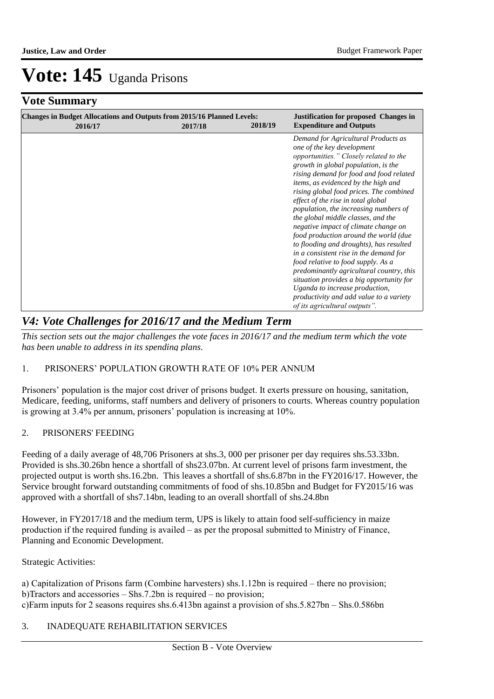## **Vote Summary**

| <b>Changes in Budget Allocations and Outputs from 2015/16 Planned Levels:</b><br>2016/17 | 2017/18 | 2018/19 | <b>Justification for proposed Changes in</b><br><b>Expenditure and Outputs</b>                                                                                                                                                                                                                                                                                                                                                                                                                                                                                                                                                                                                                                                                                                                                         |
|------------------------------------------------------------------------------------------|---------|---------|------------------------------------------------------------------------------------------------------------------------------------------------------------------------------------------------------------------------------------------------------------------------------------------------------------------------------------------------------------------------------------------------------------------------------------------------------------------------------------------------------------------------------------------------------------------------------------------------------------------------------------------------------------------------------------------------------------------------------------------------------------------------------------------------------------------------|
|                                                                                          |         |         | Demand for Agricultural Products as<br>one of the key development<br>opportunities." Closely related to the<br>growth in global population, is the<br>rising demand for food and food related<br>items, as evidenced by the high and<br>rising global food prices. The combined<br>effect of the rise in total global<br>population, the increasing numbers of<br>the global middle classes, and the<br>negative impact of climate change on<br>food production around the world (due<br>to flooding and droughts), has resulted<br>in a consistent rise in the demand for<br>food relative to food supply. As a<br>predominantly agricultural country, this<br>situation provides a big opportunity for<br>Uganda to increase production,<br>productivity and add value to a variety<br>of its agricultural outputs". |

## *V4: Vote Challenges for 2016/17 and the Medium Term*

*This section sets out the major challenges the vote faces in 2016/17 and the medium term which the vote has been unable to address in its spending plans.*

### 1. PRISONERS" POPULATION GROWTH RATE OF 10% PER ANNUM

Prisoners" population is the major cost driver of prisons budget. It exerts pressure on housing, sanitation, Medicare, feeding, uniforms, staff numbers and delivery of prisoners to courts. Whereas country population is growing at 3.4% per annum, prisoners' population is increasing at 10%.

### 2. PRISONERS' FEEDING

Feeding of a daily average of 48,706 Prisoners at shs.3, 000 per prisoner per day requires shs.53.33bn. Provided is shs.30.26bn hence a shortfall of shs23.07bn. At current level of prisons farm investment, the projected output is worth shs.16.2bn. This leaves a shortfall of shs.6.87bn in the FY2016/17. However, the Service brought forward outstanding commitments of food of shs.10.85bn and Budget for FY2015/16 was approved with a shortfall of shs7.14bn, leading to an overall shortfall of shs.24.8bn

However, in FY2017/18 and the medium term, UPS is likely to attain food self-sufficiency in maize production if the required funding is availed – as per the proposal submitted to Ministry of Finance, Planning and Economic Development.

Strategic Activities:

a) Capitalization of Prisons farm (Combine harvesters) shs.1.12bn is required – there no provision;  $b)$ Tractors and accessories – Shs.7.2bn is required – no provision; c) Farm inputs for 2 seasons requires shs.6.413bn against a provision of shs.5.827bn – Shs.0.586bn

### 3. INADEQUATE REHABILITATION SERVICES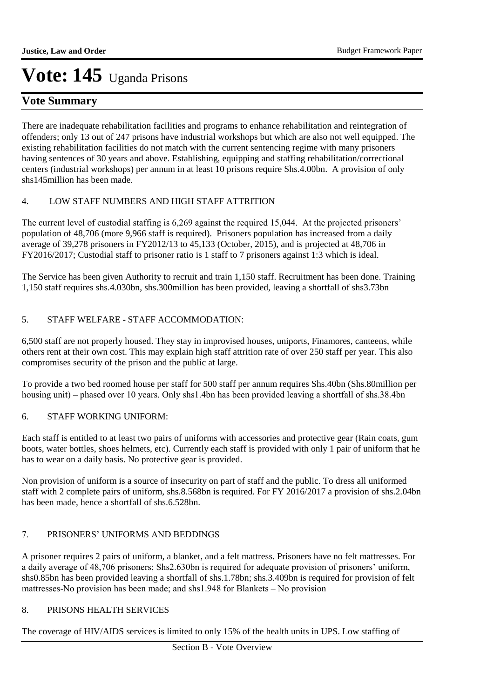## **Vote Summary**

There are inadequate rehabilitation facilities and programs to enhance rehabilitation and reintegration of offenders; only 13 out of 247 prisons have industrial workshops but which are also not well equipped. The existing rehabilitation facilities do not match with the current sentencing regime with many prisoners having sentences of 30 years and above. Establishing, equipping and staffing rehabilitation/correctional centers (industrial workshops) per annum in at least 10 prisons require Shs.4.00bn. A provision of only shs145million has been made.

### 4. LOW STAFF NUMBERS AND HIGH STAFF ATTRITION

The current level of custodial staffing is 6,269 against the required 15,044. At the projected prisoners' population of 48,706 (more 9,966 staff is required). Prisoners population has increased from a daily average of 39,278 prisoners in FY2012/13 to 45,133 (October, 2015), and is projected at 48,706 in FY2016/2017; Custodial staff to prisoner ratio is 1 staff to 7 prisoners against 1:3 which is ideal.

The Service has been given Authority to recruit and train 1,150 staff. Recruitment has been done. Training 1,150 staff requires shs.4.030bn, shs.300million has been provided, leaving a shortfall of shs3.73bn

### 5. STAFF WELFARE - STAFF ACCOMMODATION:

6,500 staff are not properly housed. They stay in improvised houses, uniports, Finamores, canteens, while others rent at their own cost. This may explain high staff attrition rate of over 250 staff per year. This also compromises security of the prison and the public at large.

To provide a two bed roomed house per staff for 500 staff per annum requires Shs.40bn (Shs.80million per housing unit) – phased over 10 years. Only shs1.4bn has been provided leaving a shortfall of shs.38.4bn

### 6. STAFF WORKING UNIFORM:

Each staff is entitled to at least two pairs of uniforms with accessories and protective gear (Rain coats, gum boots, water bottles, shoes helmets, etc). Currently each staff is provided with only 1 pair of uniform that he has to wear on a daily basis. No protective gear is provided.

Non provision of uniform is a source of insecurity on part of staff and the public. To dress all uniformed staff with 2 complete pairs of uniform, shs.8.568bn is required. For FY 2016/2017 a provision of shs.2.04bn has been made, hence a shortfall of shs.6.528bn.

### 7. PRISONERS" UNIFORMS AND BEDDINGS

A prisoner requires 2 pairs of uniform, a blanket, and a felt mattress. Prisoners have no felt mattresses. For a daily average of 48,706 prisoners; Shs2.630bn is required for adequate provision of prisoners' uniform, shs0.85bn has been provided leaving a shortfall of shs.1.78bn; shs.3.409bn is required for provision of felt mattresses-No provision has been made; and shs1.948 for Blankets – No provision

### 8. PRISONS HEALTH SERVICES

The coverage of HIV/AIDS services is limited to only 15% of the health units in UPS. Low staffing of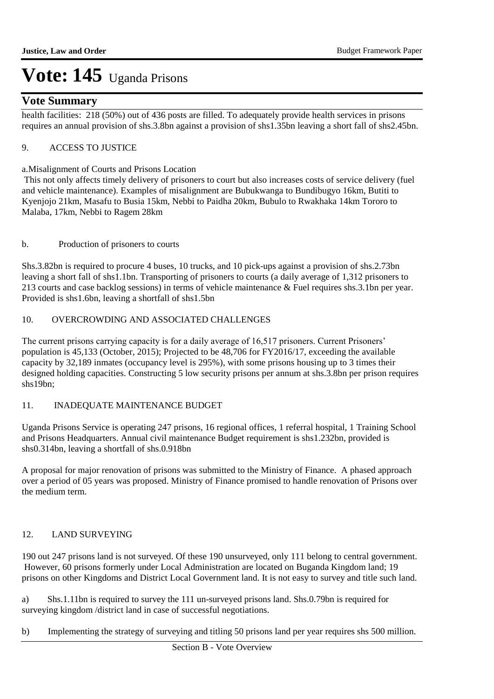### **Vote Summary**

health facilities: 218 (50%) out of 436 posts are filled. To adequately provide health services in prisons requires an annual provision of shs.3.8bn against a provision of shs1.35bn leaving a short fall of shs2.45bn.

### 9. ACCESS TO JUSTICE

### a. Misalignment of Courts and Prisons Location

 This not only affects timely delivery of prisoners to court but also increases costs of service delivery (fuel and vehicle maintenance). Examples of misalignment are Bubukwanga to Bundibugyo 16km, Butiti to Kyenjojo 21km, Masafu to Busia 15km, Nebbi to Paidha 20km, Bubulo to Rwakhaka 14km Tororo to Malaba, 17km, Nebbi to Ragem 28km

### b. Production of prisoners to courts

Shs.3.82bn is required to procure 4 buses, 10 trucks, and 10 pick-ups against a provision of shs.2.73bn leaving a short fall of shs1.1bn. Transporting of prisoners to courts (a daily average of 1,312 prisoners to 213 courts and case backlog sessions) in terms of vehicle maintenance & Fuel requires shs.3.1bn per year. Provided is shs1.6bn, leaving a shortfall of shs1.5bn

### 10. OVERCROWDING AND ASSOCIATED CHALLENGES

The current prisons carrying capacity is for a daily average of 16,517 prisoners. Current Prisoners' population is 45,133 (October, 2015); Projected to be 48,706 for FY2016/17, exceeding the available capacity by 32,189 inmates (occupancy level is 295%), with some prisons housing up to 3 times their designed holding capacities. Constructing 5 low security prisons per annum at shs.3.8bn per prison requires shs19bn;

### 11. INADEQUATE MAINTENANCE BUDGET

Uganda Prisons Service is operating 247 prisons, 16 regional offices, 1 referral hospital, 1 Training School and Prisons Headquarters. Annual civil maintenance Budget requirement is shs1.232bn, provided is shs0.314bn, leaving a shortfall of shs.0.918bn

A proposal for major renovation of prisons was submitted to the Ministry of Finance. A phased approach over a period of 05 years was proposed. Ministry of Finance promised to handle renovation of Prisons over the medium term.

### 12. LAND SURVEYING

190 out 247 prisons land is not surveyed. Of these 190 unsurveyed, only 111 belong to central government. However, 60 prisons formerly under Local Administration are located on Buganda Kingdom land; 19 prisons on other Kingdoms and District Local Government land. It is not easy to survey and title such land.

a) Shs.1.11bn is required to survey the 111 un-surveyed prisons land. Shs.0.79bn is required for surveying kingdom /district land in case of successful negotiations.

b) Implementing the strategy of surveying and titling 50 prisons land per year requires shs 500 million.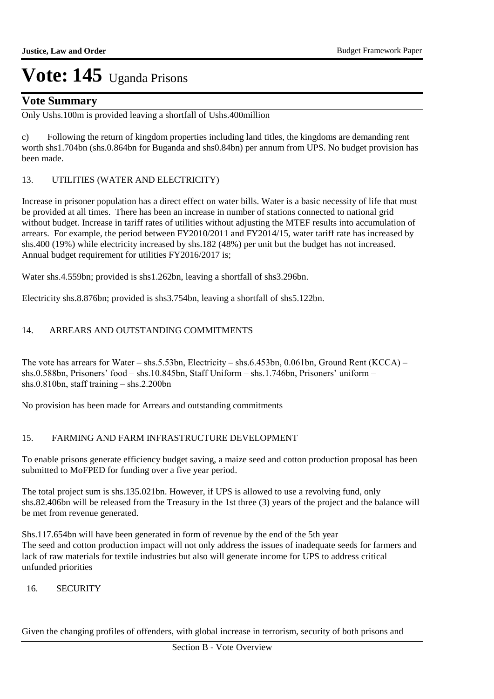### **Vote Summary**

Only Ushs.100m is provided leaving a shortfall of Ushs.400million

c) Following the return of kingdom properties including land titles, the kingdoms are demanding rent worth shs1.704bn (shs.0.864bn for Buganda and shs0.84bn) per annum from UPS. No budget provision has been made.

### 13. UTILITIES (WATER AND ELECTRICITY)

Increase in prisoner population has a direct effect on water bills. Water is a basic necessity of life that must be provided at all times. There has been an increase in number of stations connected to national grid without budget. Increase in tariff rates of utilities without adjusting the MTEF results into accumulation of arrears. For example, the period between FY2010/2011 and FY2014/15, water tariff rate has increased by shs.400 (19%) while electricity increased by shs.182 (48%) per unit but the budget has not increased. Annual budget requirement for utilities FY2016/2017 is;

Water shs.4.559bn; provided is shs1.262bn, leaving a shortfall of shs3.296bn.

Electricity shs.8.876bn; provided is shs3.754bn, leaving a shortfall of shs5.122bn.

### 14. ARREARS AND OUTSTANDING COMMITMENTS

The vote has arrears for Water – shs.5.53bn, Electricity – shs.6.453bn, 0.061bn, Ground Rent (KCCA) – shs.0.588bn, Prisoners' food - shs.10.845bn, Staff Uniform - shs.1.746bn, Prisoners' uniform shs.0.810bn, staff training – shs.2.200bn

No provision has been made for Arrears and outstanding commitments

### 15. FARMING AND FARM INFRASTRUCTURE DEVELOPMENT

To enable prisons generate efficiency budget saving, a maize seed and cotton production proposal has been submitted to MoFPED for funding over a five year period.

The total project sum is shs.135.021bn. However, if UPS is allowed to use a revolving fund, only shs.82.406bn will be released from the Treasury in the 1st three (3) years of the project and the balance will be met from revenue generated.

Shs.117.654bn will have been generated in form of revenue by the end of the 5th year The seed and cotton production impact will not only address the issues of inadequate seeds for farmers and lack of raw materials for textile industries but also will generate income for UPS to address critical unfunded priorities

### 16. SECURITY

Given the changing profiles of offenders, with global increase in terrorism, security of both prisons and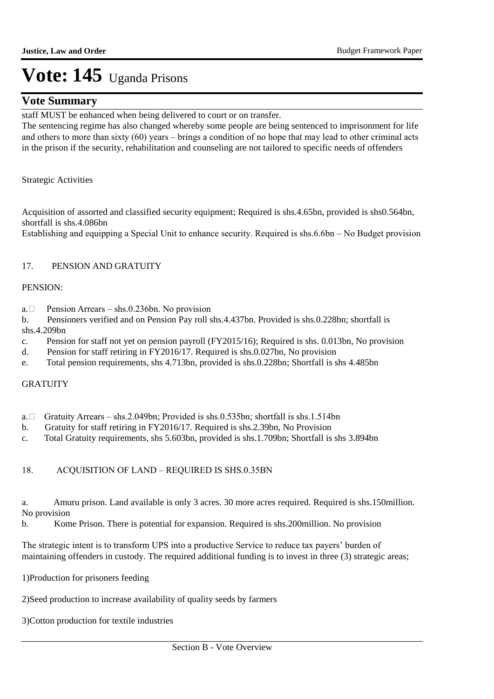### **Vote Summary**

staff MUST be enhanced when being delivered to court or on transfer.

The sentencing regime has also changed whereby some people are being sentenced to imprisonment for life and others to more than sixty (60) years – brings a condition of no hope that may lead to other criminal acts in the prison if the security, rehabilitation and counseling are not tailored to specific needs of offenders

Strategic Activities

Acquisition of assorted and classified security equipment; Required is shs.4.65bn, provided is shs0.564bn, shortfall is shs.4.086bn

Establishing and equipping a Special Unit to enhance security. Required is shs.6.6bn – No Budget provision

### 17. PENSION AND GRATUITY

### PENSION:

a. Pension Arrears – shs.0.236bn. No provision

b. Pensioners verified and on Pension Pay roll shs.4.437bn. Provided is shs.0.228bn; shortfall is shs.4.209bn

- c. Pension for staff not yet on pension payroll (FY2015/16); Required is shs. 0.013bn, No provision
- d. Pension for staff retiring in FY2016/17. Required is shs.0.027bn, No provision
- e. Total pension requirements, shs 4.713bn, provided is shs.0.228bn; Shortfall is shs 4.485bn

### **GRATUITY**

- a.  $\Box$  Gratuity Arrears shs.2.049bn; Provided is shs.0.535bn; shortfall is shs.1.514bn
- b. Gratuity for staff retiring in FY2016/17. Required is shs.2.39bn, No Provision
- c. Total Gratuity requirements, shs 5.603bn, provided is shs.1.709bn; Shortfall is shs 3.894bn

### 18. ACQUISITION OF LAND – REQUIRED IS SHS.0.35BN

a. Amuru prison. Land available is only 3 acres. 30 more acres required. Required is shs.150million. No provision

b. Kome Prison. There is potential for expansion. Required is shs.200million. No provision

The strategic intent is to transform UPS into a productive Service to reduce tax payers" burden of maintaining offenders in custody. The required additional funding is to invest in three (3) strategic areas;

1) Production for prisoners feeding

2) Seed production to increase availability of quality seeds by farmers

3) Cotton production for textile industries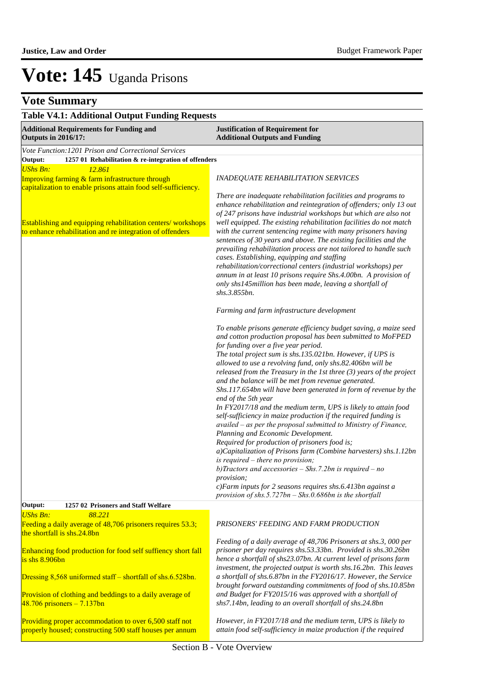| <b>Table V4.1: Additional Output Funding Requests</b>                                                                                          |                                                                                                                                                                                                                                                                                                                                                                                                                                                                                                                                                                                                                                                                                                                                                                                                                                                                                                                                                                                                                                                                                                                                                 |  |
|------------------------------------------------------------------------------------------------------------------------------------------------|-------------------------------------------------------------------------------------------------------------------------------------------------------------------------------------------------------------------------------------------------------------------------------------------------------------------------------------------------------------------------------------------------------------------------------------------------------------------------------------------------------------------------------------------------------------------------------------------------------------------------------------------------------------------------------------------------------------------------------------------------------------------------------------------------------------------------------------------------------------------------------------------------------------------------------------------------------------------------------------------------------------------------------------------------------------------------------------------------------------------------------------------------|--|
| <b>Additional Requirements for Funding and</b><br><b>Outputs in 2016/17:</b>                                                                   | <b>Justification of Requirement for</b><br><b>Additional Outputs and Funding</b>                                                                                                                                                                                                                                                                                                                                                                                                                                                                                                                                                                                                                                                                                                                                                                                                                                                                                                                                                                                                                                                                |  |
| Vote Function: 1201 Prison and Correctional Services                                                                                           |                                                                                                                                                                                                                                                                                                                                                                                                                                                                                                                                                                                                                                                                                                                                                                                                                                                                                                                                                                                                                                                                                                                                                 |  |
| Output:<br>1257 01 Rehabilitation & re-integration of offenders                                                                                |                                                                                                                                                                                                                                                                                                                                                                                                                                                                                                                                                                                                                                                                                                                                                                                                                                                                                                                                                                                                                                                                                                                                                 |  |
| <b>UShs Bn:</b><br>12.861<br>Improving farming & farm infrastructure through<br>capitalization to enable prisons attain food self-sufficiency. | <b>INADEQUATE REHABILITATION SERVICES</b>                                                                                                                                                                                                                                                                                                                                                                                                                                                                                                                                                                                                                                                                                                                                                                                                                                                                                                                                                                                                                                                                                                       |  |
| Establishing and equipping rehabilitation centers/workshops<br>to enhance rehabilitation and re integration of offenders                       | There are inadequate rehabilitation facilities and programs to<br>enhance rehabilitation and reintegration of offenders; only 13 out<br>of 247 prisons have industrial workshops but which are also not<br>well equipped. The existing rehabilitation facilities do not match<br>with the current sentencing regime with many prisoners having<br>sentences of 30 years and above. The existing facilities and the<br>prevailing rehabilitation process are not tailored to handle such<br>cases. Establishing, equipping and staffing<br>rehabilitation/correctional centers (industrial workshops) per<br>annum in at least 10 prisons require Shs.4.00bn. A provision of<br>only shs145 million has been made, leaving a shortfall of                                                                                                                                                                                                                                                                                                                                                                                                        |  |
|                                                                                                                                                | shs.3.855bn.<br>Farming and farm infrastructure development                                                                                                                                                                                                                                                                                                                                                                                                                                                                                                                                                                                                                                                                                                                                                                                                                                                                                                                                                                                                                                                                                     |  |
|                                                                                                                                                |                                                                                                                                                                                                                                                                                                                                                                                                                                                                                                                                                                                                                                                                                                                                                                                                                                                                                                                                                                                                                                                                                                                                                 |  |
|                                                                                                                                                | To enable prisons generate efficiency budget saving, a maize seed<br>and cotton production proposal has been submitted to MoFPED<br>for funding over a five year period.<br>The total project sum is shs.135.021bn. However, if UPS is<br>allowed to use a revolving fund, only shs.82.406bn will be<br>released from the Treasury in the 1st three $(3)$ years of the project<br>and the balance will be met from revenue generated.<br>Shs.117.654bn will have been generated in form of revenue by the<br>end of the 5th year<br>In FY2017/18 and the medium term, UPS is likely to attain food<br>self-sufficiency in maize production if the required funding is<br>availed – as per the proposal submitted to Ministry of Finance,<br>Planning and Economic Development.<br>Required for production of prisoners food is;<br>a)Capitalization of Prisons farm (Combine harvesters) shs.1.12bn<br>is required - there no provision;<br>b) Tractors and accessories $-$ Shs.7.2bn is required $-$ no<br>provision;<br>c)Farm inputs for 2 seasons requires shs.6.413bn against a<br>provision of shs.5.727bn - Shs.0.686bn is the shortfall |  |
| 1257 02 Prisoners and Staff Welfare<br>Output:                                                                                                 |                                                                                                                                                                                                                                                                                                                                                                                                                                                                                                                                                                                                                                                                                                                                                                                                                                                                                                                                                                                                                                                                                                                                                 |  |
| 88.221<br><b>UShs Bn:</b>                                                                                                                      |                                                                                                                                                                                                                                                                                                                                                                                                                                                                                                                                                                                                                                                                                                                                                                                                                                                                                                                                                                                                                                                                                                                                                 |  |
| Feeding a daily average of 48,706 prisoners requires 53.3;<br>the shortfall is shs.24.8bn                                                      | PRISONERS' FEEDING AND FARM PRODUCTION                                                                                                                                                                                                                                                                                                                                                                                                                                                                                                                                                                                                                                                                                                                                                                                                                                                                                                                                                                                                                                                                                                          |  |
| Enhancing food production for food self suffiency short fall<br>$is$ shs $8.906$ bn                                                            | Feeding of a daily average of 48,706 Prisoners at shs.3,000 per<br>prisoner per day requires shs.53.33bn. Provided is shs.30.26bn<br>hence a shortfall of shs23.07bn. At current level of prisons farm<br>investment, the projected output is worth shs.16.2bn. This leaves                                                                                                                                                                                                                                                                                                                                                                                                                                                                                                                                                                                                                                                                                                                                                                                                                                                                     |  |
| Dressing 8,568 uniformed staff – shortfall of shs.6.528bn.                                                                                     | a shortfall of shs.6.87bn in the FY2016/17. However, the Service<br>brought forward outstanding commitments of food of shs.10.85bn<br>and Budget for FY2015/16 was approved with a shortfall of                                                                                                                                                                                                                                                                                                                                                                                                                                                                                                                                                                                                                                                                                                                                                                                                                                                                                                                                                 |  |
| Provision of clothing and beddings to a daily average of<br>$48.706$ prisoners $-7.137$ bn                                                     | shs7.14bn, leading to an overall shortfall of shs.24.8bn                                                                                                                                                                                                                                                                                                                                                                                                                                                                                                                                                                                                                                                                                                                                                                                                                                                                                                                                                                                                                                                                                        |  |
| Providing proper accommodation to over 6,500 staff not<br>properly housed; constructing 500 staff houses per annum                             | However, in FY2017/18 and the medium term, UPS is likely to<br>attain food self-sufficiency in maize production if the required                                                                                                                                                                                                                                                                                                                                                                                                                                                                                                                                                                                                                                                                                                                                                                                                                                                                                                                                                                                                                 |  |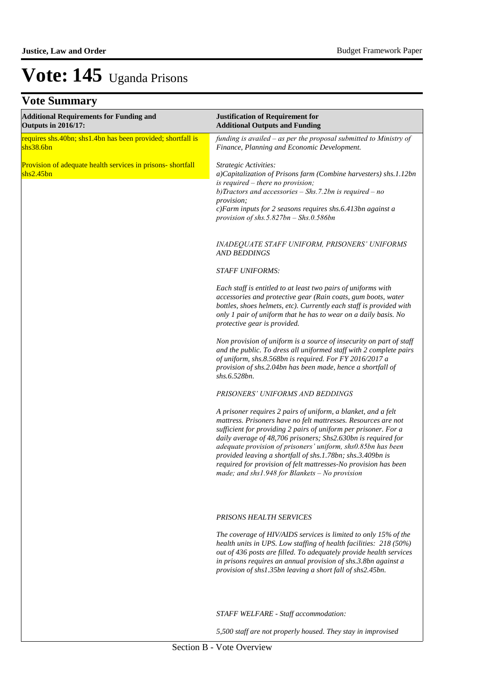| $\mathbf{v}$                                                                 |                                                                                                                                                                                                                                                                                                                                                                                                                                                                                                                          |
|------------------------------------------------------------------------------|--------------------------------------------------------------------------------------------------------------------------------------------------------------------------------------------------------------------------------------------------------------------------------------------------------------------------------------------------------------------------------------------------------------------------------------------------------------------------------------------------------------------------|
| <b>Additional Requirements for Funding and</b><br><b>Outputs in 2016/17:</b> | <b>Justification of Requirement for</b><br><b>Additional Outputs and Funding</b>                                                                                                                                                                                                                                                                                                                                                                                                                                         |
| requires shs.40bn; shs1.4bn has been provided; shortfall is<br>shs38.6bn     | funding is availed - as per the proposal submitted to Ministry of<br>Finance, Planning and Economic Development.                                                                                                                                                                                                                                                                                                                                                                                                         |
| Provision of adequate health services in prisons-shortfall<br>shs2.45bn      | Strategic Activities:<br>a)Capitalization of Prisons farm (Combine harvesters) shs.1.12bn<br>is required $-$ there no provision;<br>b) Tractors and accessories $-$ Shs.7.2bn is required $-$ no<br>provision;<br>c)Farm inputs for 2 seasons requires shs.6.413bn against a<br>provision of shs.5.827bn $-$ Shs.0.586bn                                                                                                                                                                                                 |
|                                                                              | INADEQUATE STAFF UNIFORM, PRISONERS' UNIFORMS<br><b>AND BEDDINGS</b>                                                                                                                                                                                                                                                                                                                                                                                                                                                     |
|                                                                              | <b>STAFF UNIFORMS:</b>                                                                                                                                                                                                                                                                                                                                                                                                                                                                                                   |
|                                                                              | Each staff is entitled to at least two pairs of uniforms with<br>accessories and protective gear (Rain coats, gum boots, water<br>bottles, shoes helmets, etc). Currently each staff is provided with<br>only 1 pair of uniform that he has to wear on a daily basis. No<br>protective gear is provided.                                                                                                                                                                                                                 |
|                                                                              | Non provision of uniform is a source of insecurity on part of staff<br>and the public. To dress all uniformed staff with 2 complete pairs<br>of uniform, shs.8.568bn is required. For FY 2016/2017 a<br>provision of shs.2.04bn has been made, hence a shortfall of<br>shs.6.528bn.                                                                                                                                                                                                                                      |
|                                                                              | PRISONERS' UNIFORMS AND BEDDINGS                                                                                                                                                                                                                                                                                                                                                                                                                                                                                         |
|                                                                              | A prisoner requires 2 pairs of uniform, a blanket, and a felt<br>mattress. Prisoners have no felt mattresses. Resources are not<br>sufficient for providing 2 pairs of uniform per prisoner. For a<br>daily average of 48,706 prisoners; Shs2.630bn is required for<br>adequate provision of prisoners' uniform, shs0.85bn has been<br>provided leaving a shortfall of shs.1.78bn; shs.3.409bn is<br>required for provision of felt mattresses-No provision has been<br>made; and shs1.948 for Blankets $-$ No provision |
|                                                                              | <b>PRISONS HEALTH SERVICES</b>                                                                                                                                                                                                                                                                                                                                                                                                                                                                                           |
|                                                                              | The coverage of HIV/AIDS services is limited to only 15% of the<br>health units in UPS. Low staffing of health facilities: 218 (50%)<br>out of 436 posts are filled. To adequately provide health services<br>in prisons requires an annual provision of shs.3.8bn against a<br>provision of shs1.35bn leaving a short fall of shs2.45bn.                                                                                                                                                                                |
|                                                                              | STAFF WELFARE - Staff accommodation:                                                                                                                                                                                                                                                                                                                                                                                                                                                                                     |
|                                                                              | 5,500 staff are not properly housed. They stay in improvised                                                                                                                                                                                                                                                                                                                                                                                                                                                             |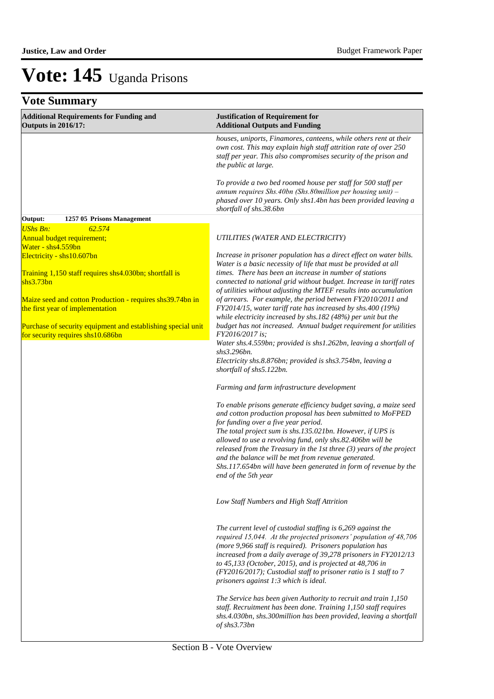| <b>Additional Requirements for Funding and</b><br><b>Outputs in 2016/17:</b>                      | <b>Justification of Requirement for</b><br><b>Additional Outputs and Funding</b>                                                                                                                                                                                                                                                                                                                                                                                                                                                 |
|---------------------------------------------------------------------------------------------------|----------------------------------------------------------------------------------------------------------------------------------------------------------------------------------------------------------------------------------------------------------------------------------------------------------------------------------------------------------------------------------------------------------------------------------------------------------------------------------------------------------------------------------|
|                                                                                                   | houses, uniports, Finamores, canteens, while others rent at their<br>own cost. This may explain high staff attrition rate of over 250<br>staff per year. This also compromises security of the prison and<br>the public at large.                                                                                                                                                                                                                                                                                                |
|                                                                                                   | To provide a two bed roomed house per staff for 500 staff per<br>annum requires Shs.40bn (Shs.80million per housing unit) $-$<br>phased over 10 years. Only shs1.4bn has been provided leaving a<br>shortfall of shs.38.6bn                                                                                                                                                                                                                                                                                                      |
| Output:<br>1257 05 Prisons Management                                                             |                                                                                                                                                                                                                                                                                                                                                                                                                                                                                                                                  |
| <b>UShs Bn:</b><br>62.574<br>Annual budget requirement;                                           | UTILITIES (WATER AND ELECTRICITY)                                                                                                                                                                                                                                                                                                                                                                                                                                                                                                |
| Water - shs4.559bn<br>Electricity - shs10.607bn                                                   | Increase in prisoner population has a direct effect on water bills.<br>Water is a basic necessity of life that must be provided at all                                                                                                                                                                                                                                                                                                                                                                                           |
| Training 1,150 staff requires shs4.030bn; shortfall is<br>shs3.73bn                               | times. There has been an increase in number of stations<br>connected to national grid without budget. Increase in tariff rates<br>of utilities without adjusting the MTEF results into accumulation                                                                                                                                                                                                                                                                                                                              |
| Maize seed and cotton Production - requires shs39.74bn in<br>the first year of implementation     | of arrears. For example, the period between FY2010/2011 and<br>FY2014/15, water tariff rate has increased by shs.400 (19%)<br>while electricity increased by shs.182 (48%) per unit but the                                                                                                                                                                                                                                                                                                                                      |
| Purchase of security equipment and establishing special unit<br>for security requires shs10.686bn | budget has not increased. Annual budget requirement for utilities<br>FY2016/2017 is:<br>Water shs.4.559bn; provided is shs1.262bn, leaving a shortfall of                                                                                                                                                                                                                                                                                                                                                                        |
|                                                                                                   | shs3.296bn.<br>Electricity shs.8.876bn; provided is shs3.754bn, leaving a<br>shortfall of shs5.122bn.                                                                                                                                                                                                                                                                                                                                                                                                                            |
|                                                                                                   | Farming and farm infrastructure development                                                                                                                                                                                                                                                                                                                                                                                                                                                                                      |
|                                                                                                   | To enable prisons generate efficiency budget saving, a maize seed<br>and cotton production proposal has been submitted to MoFPED<br>for funding over a five year period.<br>The total project sum is shs.135.021bn. However, if UPS is<br>allowed to use a revolving fund, only shs.82.406bn will be<br>released from the Treasury in the 1st three $(3)$ years of the project<br>and the balance will be met from revenue generated.<br>Shs.117.654bn will have been generated in form of revenue by the<br>end of the 5th year |
|                                                                                                   | Low Staff Numbers and High Staff Attrition                                                                                                                                                                                                                                                                                                                                                                                                                                                                                       |
|                                                                                                   | The current level of custodial staffing is 6,269 against the<br>required 15,044. At the projected prisoners' population of 48,706<br>(more 9,966 staff is required). Prisoners population has<br>increased from a daily average of 39,278 prisoners in FY2012/13<br>to 45,133 (October, 2015), and is projected at 48,706 in<br>(FY2016/2017); Custodial staff to prisoner ratio is 1 staff to 7<br>prisoners against 1:3 which is ideal.                                                                                        |
|                                                                                                   | The Service has been given Authority to recruit and train 1,150<br>staff. Recruitment has been done. Training 1,150 staff requires<br>shs.4.030bn, shs.300million has been provided, leaving a shortfall<br>of shs3.73bn                                                                                                                                                                                                                                                                                                         |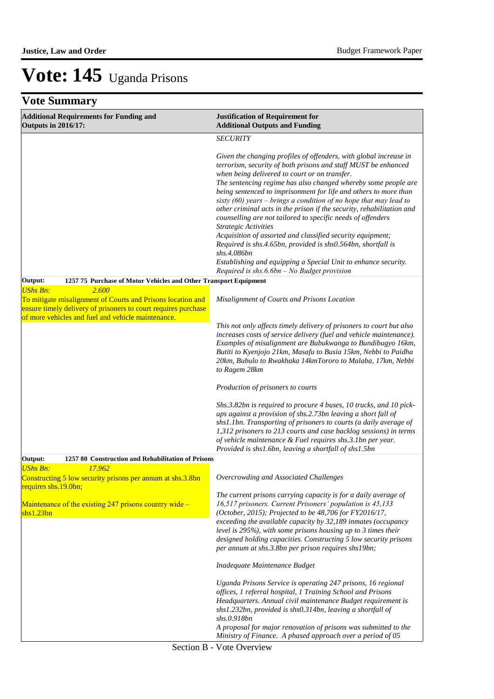| <b>Additional Requirements for Funding and</b><br><b>Outputs in 2016/17:</b>                                                                                                                                    | <b>Justification of Requirement for</b><br><b>Additional Outputs and Funding</b>                                                                                                                                                                                                                                                                                                                                                                                                                                                                                         |
|-----------------------------------------------------------------------------------------------------------------------------------------------------------------------------------------------------------------|--------------------------------------------------------------------------------------------------------------------------------------------------------------------------------------------------------------------------------------------------------------------------------------------------------------------------------------------------------------------------------------------------------------------------------------------------------------------------------------------------------------------------------------------------------------------------|
|                                                                                                                                                                                                                 | <b>SECURITY</b>                                                                                                                                                                                                                                                                                                                                                                                                                                                                                                                                                          |
|                                                                                                                                                                                                                 | Given the changing profiles of offenders, with global increase in<br>terrorism, security of both prisons and staff MUST be enhanced<br>when being delivered to court or on transfer.<br>The sentencing regime has also changed whereby some people are<br>being sentenced to imprisonment for life and others to more than<br>sixty $(60)$ years – brings a condition of no hope that may lead to<br>other criminal acts in the prison if the security, rehabilitation and<br>counselling are not tailored to specific needs of offenders<br><b>Strategic Activities</b> |
|                                                                                                                                                                                                                 | Acquisition of assorted and classified security equipment;<br>Required is shs.4.65bn, provided is shs0.564bn, shortfall is<br>shs.4.086bn<br>Establishing and equipping a Special Unit to enhance security.                                                                                                                                                                                                                                                                                                                                                              |
| Output:<br>1257 75 Purchase of Motor Vehicles and Other Transport Equipment                                                                                                                                     | Required is $shs.6.6bn - No$ Budget provision                                                                                                                                                                                                                                                                                                                                                                                                                                                                                                                            |
| <b>UShs Bn:</b><br>2.600<br>To mitigate misalignment of Courts and Prisons location and<br>ensure timely delivery of prisoners to court requires purchase<br>of more vehicles and fuel and vehicle maintenance. | Misalignment of Courts and Prisons Location                                                                                                                                                                                                                                                                                                                                                                                                                                                                                                                              |
|                                                                                                                                                                                                                 | This not only affects timely delivery of prisoners to court but also<br>increases costs of service delivery (fuel and vehicle maintenance).<br>Examples of misalignment are Bubukwanga to Bundibugyo 16km,<br>Butiti to Kyenjojo 21km, Masafu to Busia 15km, Nebbi to Paidha<br>20km, Bubulo to Rwakhaka 14kmTororo to Malaba, 17km, Nebbi<br>to Ragem 28km                                                                                                                                                                                                              |
|                                                                                                                                                                                                                 | Production of prisoners to courts                                                                                                                                                                                                                                                                                                                                                                                                                                                                                                                                        |
|                                                                                                                                                                                                                 | Shs.3.82bn is required to procure 4 buses, 10 trucks, and 10 pick-<br>ups against a provision of shs.2.73bn leaving a short fall of<br>shs1.1bn. Transporting of prisoners to courts (a daily average of<br>1,312 prisoners to 213 courts and case backlog sessions) in terms<br>of vehicle maintenance & Fuel requires shs.3.1bn per year.<br>Provided is shs1.6bn, leaving a shortfall of shs1.5bn                                                                                                                                                                     |
| 1257 80 Construction and Rehabilitation of Prisons<br>Output:                                                                                                                                                   |                                                                                                                                                                                                                                                                                                                                                                                                                                                                                                                                                                          |
| 17.962<br><b>UShs Bn:</b><br>Constructing 5 low security prisons per annum at shs.3.8bn<br>requires shs.19.0bn;                                                                                                 | Overcrowding and Associated Challenges                                                                                                                                                                                                                                                                                                                                                                                                                                                                                                                                   |
| Maintenance of the existing $247$ prisons country wide –<br>shs1.23bn                                                                                                                                           | The current prisons carrying capacity is for a daily average of<br>16,517 prisoners. Current Prisoners' population is 45,133<br>(October, 2015); Projected to be 48,706 for FY2016/17,<br>exceeding the available capacity by 32,189 inmates (occupancy<br>level is $295\%$ ), with some prisons housing up to 3 times their<br>designed holding capacities. Constructing 5 low security prisons<br>per annum at shs.3.8bn per prison requires shs19bn;                                                                                                                  |
|                                                                                                                                                                                                                 | Inadequate Maintenance Budget                                                                                                                                                                                                                                                                                                                                                                                                                                                                                                                                            |
|                                                                                                                                                                                                                 | Uganda Prisons Service is operating 247 prisons, 16 regional<br>offices, 1 referral hospital, 1 Training School and Prisons<br>Headquarters. Annual civil maintenance Budget requirement is<br>shs1.232bn, provided is shs0.314bn, leaving a shortfall of<br>shs.0.918bn                                                                                                                                                                                                                                                                                                 |
|                                                                                                                                                                                                                 | A proposal for major renovation of prisons was submitted to the<br>Ministry of Finance. A phased approach over a period of 05                                                                                                                                                                                                                                                                                                                                                                                                                                            |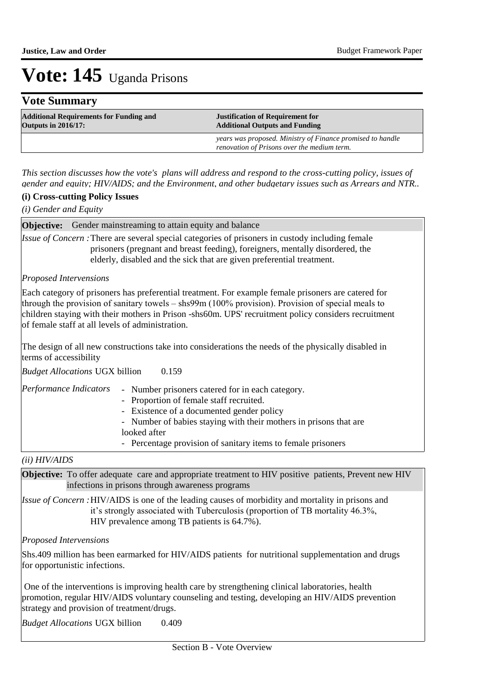## **Vote Summary**

| <b>Additional Requirements for Funding and</b> | <b>Justification of Requirement for</b>                                                                   |
|------------------------------------------------|-----------------------------------------------------------------------------------------------------------|
| <b>Outputs in 2016/17:</b>                     | <b>Additional Outputs and Funding</b>                                                                     |
|                                                | years was proposed. Ministry of Finance promised to handle<br>renovation of Prisons over the medium term. |

*This section discusses how the vote's plans will address and respond to the cross-cutting policy, issues of gender and equity; HIV/AIDS; and the Environment, and other budgetary issues such as Arrears and NTR..* 

### **(i) Cross-cutting Policy Issues**

*(i) Gender and Equity*

**Objective:** Gender mainstreaming to attain equity and balance

*Issue of Concern* : There are several special categories of prisoners in custody including female prisoners (pregnant and breast feeding), foreigners, mentally disordered, the elderly, disabled and the sick that are given preferential treatment.

### *Proposed Intervensions*

Each category of prisoners has preferential treatment. For example female prisoners are catered for through the provision of sanitary towels – shs99m (100% provision). Provision of special meals to children staying with their mothers in Prison -shs60m. UPS' recruitment policy considers recruitment of female staff at all levels of administration.

The design of all new constructions take into considerations the needs of the physically disabled in terms of accessibility

0.159 *Budget Allocations*  UGX billion

| Performance Indicators | - Number prisoners catered for in each category.                  |
|------------------------|-------------------------------------------------------------------|
|                        | - Proportion of female staff recruited.                           |
|                        | - Existence of a documented gender policy                         |
|                        | - Number of babies staying with their mothers in prisons that are |
|                        | looked after                                                      |
|                        | - Percentage provision of sanitary items to female prisoners      |

*(ii) HIV/AIDS*

**Objective:** To offer adequate care and appropriate treatment to HIV positive patients, Prevent new HIV infections in prisons through awareness programs

Issue of Concern : HIV/AIDS is one of the leading causes of morbidity and mortality in prisons and it"s strongly associated with Tuberculosis (proportion of TB mortality 46.3%, HIV prevalence among TB patients is 64.7%).

### *Proposed Intervensions*

Shs.409 million has been earmarked for HIV/AIDS patients for nutritional supplementation and drugs for opportunistic infections.

 One of the interventions is improving health care by strengthening clinical laboratories, health promotion, regular HIV/AIDS voluntary counseling and testing, developing an HIV/AIDS prevention strategy and provision of treatment/drugs.

0.409 *Budget Allocations* UGX billion